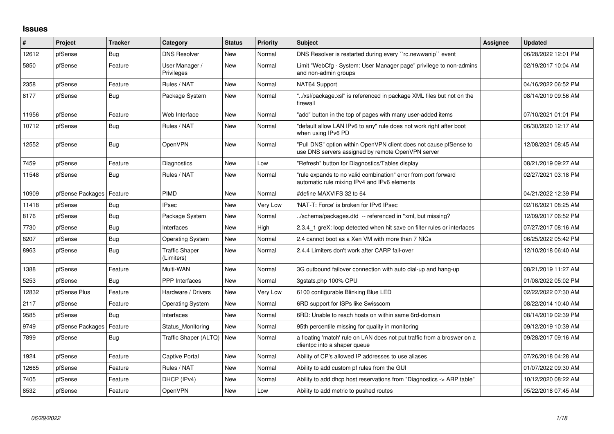## **Issues**

| ∦     | Project          | Tracker    | Category                            | <b>Status</b> | <b>Priority</b> | <b>Subject</b>                                                                                                         | Assignee | <b>Updated</b>      |
|-------|------------------|------------|-------------------------------------|---------------|-----------------|------------------------------------------------------------------------------------------------------------------------|----------|---------------------|
| 12612 | pfSense          | Bug        | <b>DNS Resolver</b>                 | <b>New</b>    | Normal          | DNS Resolver is restarted during every "rc.newwanip" event                                                             |          | 06/28/2022 12:01 PM |
| 5850  | pfSense          | Feature    | User Manager /<br>Privileges        | <b>New</b>    | Normal          | Limit "WebCfg - System: User Manager page" privilege to non-admins<br>and non-admin groups                             |          | 02/19/2017 10:04 AM |
| 2358  | pfSense          | Feature    | Rules / NAT                         | <b>New</b>    | Normal          | NAT64 Support                                                                                                          |          | 04/16/2022 06:52 PM |
| 8177  | pfSense          | <b>Bug</b> | Package System                      | <b>New</b>    | Normal          | '/xsl/package.xsl" is referenced in package XML files but not on the<br>firewall                                       |          | 08/14/2019 09:56 AM |
| 11956 | pfSense          | Feature    | Web Interface                       | <b>New</b>    | Normal          | "add" button in the top of pages with many user-added items                                                            |          | 07/10/2021 01:01 PM |
| 10712 | pfSense          | <b>Bug</b> | Rules / NAT                         | <b>New</b>    | Normal          | "default allow LAN IPv6 to any" rule does not work right after boot<br>when using IPv6 PD                              |          | 06/30/2020 12:17 AM |
| 12552 | pfSense          | <b>Bug</b> | <b>OpenVPN</b>                      | <b>New</b>    | Normal          | "Pull DNS" option within OpenVPN client does not cause pfSense to<br>use DNS servers assigned by remote OpenVPN server |          | 12/08/2021 08:45 AM |
| 7459  | pfSense          | Feature    | Diagnostics                         | <b>New</b>    | Low             | "Refresh" button for Diagnostics/Tables display                                                                        |          | 08/21/2019 09:27 AM |
| 11548 | pfSense          | Bug        | Rules / NAT                         | <b>New</b>    | Normal          | "rule expands to no valid combination" error from port forward<br>automatic rule mixing IPv4 and IPv6 elements         |          | 02/27/2021 03:18 PM |
| 10909 | pfSense Packages | Feature    | <b>PIMD</b>                         | <b>New</b>    | Normal          | #define MAXVIFS 32 to 64                                                                                               |          | 04/21/2022 12:39 PM |
| 11418 | pfSense          | <b>Bug</b> | <b>IPsec</b>                        | <b>New</b>    | Very Low        | 'NAT-T: Force' is broken for IPv6 IPsec                                                                                |          | 02/16/2021 08:25 AM |
| 8176  | pfSense          | <b>Bug</b> | Package System                      | <b>New</b>    | Normal          | ./schema/packages.dtd -- referenced in *xml, but missing?                                                              |          | 12/09/2017 06:52 PM |
| 7730  | pfSense          | <b>Bug</b> | Interfaces                          | <b>New</b>    | High            | 2.3.4_1 greX: loop detected when hit save on filter rules or interfaces                                                |          | 07/27/2017 08:16 AM |
| 8207  | pfSense          | <b>Bug</b> | Operating System                    | <b>New</b>    | Normal          | 2.4 cannot boot as a Xen VM with more than 7 NICs                                                                      |          | 06/25/2022 05:42 PM |
| 8963  | pfSense          | <b>Bug</b> | <b>Traffic Shaper</b><br>(Limiters) | <b>New</b>    | Normal          | 2.4.4 Limiters don't work after CARP fail-over                                                                         |          | 12/10/2018 06:40 AM |
| 1388  | pfSense          | Feature    | Multi-WAN                           | <b>New</b>    | Normal          | 3G outbound failover connection with auto dial-up and hang-up                                                          |          | 08/21/2019 11:27 AM |
| 5253  | pfSense          | Bug        | PPP Interfaces                      | <b>New</b>    | Normal          | 3gstats.php 100% CPU                                                                                                   |          | 01/08/2022 05:02 PM |
| 12832 | pfSense Plus     | Feature    | Hardware / Drivers                  | <b>New</b>    | Very Low        | 6100 configurable Blinking Blue LED                                                                                    |          | 02/22/2022 07:30 AM |
| 2117  | pfSense          | Feature    | <b>Operating System</b>             | <b>New</b>    | Normal          | 6RD support for ISPs like Swisscom                                                                                     |          | 08/22/2014 10:40 AM |
| 9585  | pfSense          | Bug        | Interfaces                          | <b>New</b>    | Normal          | 6RD: Unable to reach hosts on within same 6rd-domain                                                                   |          | 08/14/2019 02:39 PM |
| 9749  | pfSense Packages | Feature    | Status Monitoring                   | <b>New</b>    | Normal          | 95th percentile missing for quality in monitoring                                                                      |          | 09/12/2019 10:39 AM |
| 7899  | pfSense          | Bug        | Traffic Shaper (ALTQ)               | New           | Normal          | a floating 'match' rule on LAN does not put traffic from a broswer on a<br>clientpc into a shaper queue                |          | 09/28/2017 09:16 AM |
| 1924  | pfSense          | Feature    | Captive Portal                      | <b>New</b>    | Normal          | Ability of CP's allowed IP addresses to use aliases                                                                    |          | 07/26/2018 04:28 AM |
| 12665 | pfSense          | Feature    | Rules / NAT                         | <b>New</b>    | Normal          | Ability to add custom pf rules from the GUI                                                                            |          | 01/07/2022 09:30 AM |
| 7405  | pfSense          | Feature    | DHCP (IPv4)                         | <b>New</b>    | Normal          | Ability to add dhcp host reservations from "Diagnostics -> ARP table"                                                  |          | 10/12/2020 08:22 AM |
| 8532  | pfSense          | Feature    | <b>OpenVPN</b>                      | New           | Low             | Ability to add metric to pushed routes                                                                                 |          | 05/22/2018 07:45 AM |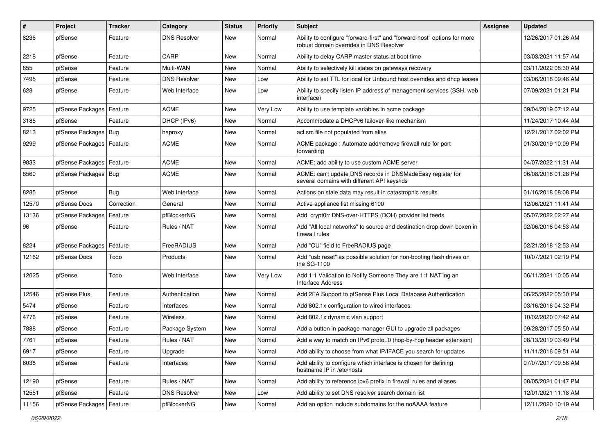| $\vert$ # | Project                | <b>Tracker</b> | Category            | <b>Status</b> | Priority | Subject                                                                                                             | Assignee | <b>Updated</b>      |
|-----------|------------------------|----------------|---------------------|---------------|----------|---------------------------------------------------------------------------------------------------------------------|----------|---------------------|
| 8236      | pfSense                | Feature        | <b>DNS Resolver</b> | New           | Normal   | Ability to configure "forward-first" and "forward-host" options for more<br>robust domain overrides in DNS Resolver |          | 12/26/2017 01:26 AM |
| 2218      | pfSense                | Feature        | CARP                | New           | Normal   | Ability to delay CARP master status at boot time                                                                    |          | 03/03/2021 11:57 AM |
| 855       | pfSense                | Feature        | Multi-WAN           | New           | Normal   | Ability to selectively kill states on gateways recovery                                                             |          | 03/11/2022 08:30 AM |
| 7495      | pfSense                | Feature        | <b>DNS Resolver</b> | <b>New</b>    | Low      | Ability to set TTL for local for Unbound host overrides and dhcp leases                                             |          | 03/06/2018 09:46 AM |
| 628       | pfSense                | Feature        | Web Interface       | New           | Low      | Ability to specify listen IP address of management services (SSH, web<br>interface)                                 |          | 07/09/2021 01:21 PM |
| 9725      | pfSense Packages       | Feature        | ACME                | <b>New</b>    | Very Low | Ability to use template variables in acme package                                                                   |          | 09/04/2019 07:12 AM |
| 3185      | pfSense                | Feature        | DHCP (IPv6)         | New           | Normal   | Accommodate a DHCPv6 failover-like mechanism                                                                        |          | 11/24/2017 10:44 AM |
| 8213      | pfSense Packages   Bug |                | haproxy             | New           | Normal   | acl src file not populated from alias                                                                               |          | 12/21/2017 02:02 PM |
| 9299      | pfSense Packages       | Feature        | <b>ACME</b>         | New           | Normal   | ACME package: Automate add/remove firewall rule for port<br>forwarding                                              |          | 01/30/2019 10:09 PM |
| 9833      | pfSense Packages       | Feature        | <b>ACME</b>         | <b>New</b>    | Normal   | ACME: add ability to use custom ACME server                                                                         |          | 04/07/2022 11:31 AM |
| 8560      | pfSense Packages   Bug |                | <b>ACME</b>         | New           | Normal   | ACME: can't update DNS records in DNSMadeEasy registar for<br>several domains with different API keys/ids           |          | 06/08/2018 01:28 PM |
| 8285      | pfSense                | <b>Bug</b>     | Web Interface       | New           | Normal   | Actions on stale data may result in catastrophic results                                                            |          | 01/16/2018 08:08 PM |
| 12570     | pfSense Docs           | Correction     | General             | New           | Normal   | Active appliance list missing 6100                                                                                  |          | 12/06/2021 11:41 AM |
| 13136     | pfSense Packages       | Feature        | pfBlockerNG         | New           | Normal   | Add crypt0rr DNS-over-HTTPS (DOH) provider list feeds                                                               |          | 05/07/2022 02:27 AM |
| 96        | pfSense                | Feature        | Rules / NAT         | New           | Normal   | Add "All local networks" to source and destination drop down boxen in<br>firewall rules                             |          | 02/06/2016 04:53 AM |
| 8224      | pfSense Packages       | Feature        | FreeRADIUS          | <b>New</b>    | Normal   | Add "OU" field to FreeRADIUS page                                                                                   |          | 02/21/2018 12:53 AM |
| 12162     | pfSense Docs           | Todo           | Products            | New           | Normal   | Add "usb reset" as possible solution for non-booting flash drives on<br>the SG-1100                                 |          | 10/07/2021 02:19 PM |
| 12025     | pfSense                | Todo           | Web Interface       | <b>New</b>    | Very Low | Add 1:1 Validation to Notify Someone They are 1:1 NAT'ing an<br><b>Interface Address</b>                            |          | 06/11/2021 10:05 AM |
| 12546     | pfSense Plus           | Feature        | Authentication      | New           | Normal   | Add 2FA Support to pfSense Plus Local Database Authentication                                                       |          | 06/25/2022 05:30 PM |
| 5474      | pfSense                | Feature        | Interfaces          | <b>New</b>    | Normal   | Add 802.1x configuration to wired interfaces.                                                                       |          | 03/16/2016 04:32 PM |
| 4776      | pfSense                | Feature        | Wireless            | New           | Normal   | Add 802.1x dynamic vlan support                                                                                     |          | 10/02/2020 07:42 AM |
| 7888      | pfSense                | Feature        | Package System      | <b>New</b>    | Normal   | Add a button in package manager GUI to upgrade all packages                                                         |          | 09/28/2017 05:50 AM |
| 7761      | pfSense                | Feature        | Rules / NAT         | New           | Normal   | Add a way to match on IPv6 proto=0 (hop-by-hop header extension)                                                    |          | 08/13/2019 03:49 PM |
| 6917      | pfSense                | Feature        | Upgrade             | New           | Normal   | Add ability to choose from what IP/IFACE you search for updates                                                     |          | 11/11/2016 09:51 AM |
| 6038      | pfSense                | Feature        | Interfaces          | New           | Normal   | Add ability to configure which interface is chosen for defining<br>hostname IP in /etc/hosts                        |          | 07/07/2017 09:56 AM |
| 12190     | pfSense                | Feature        | Rules / NAT         | New           | Normal   | Add ability to reference ipv6 prefix in firewall rules and aliases                                                  |          | 08/05/2021 01:47 PM |
| 12551     | pfSense                | Feature        | <b>DNS Resolver</b> | New           | Low      | Add ability to set DNS resolver search domain list                                                                  |          | 12/01/2021 11:18 AM |
| 11156     | pfSense Packages       | Feature        | pfBlockerNG         | New           | Normal   | Add an option include subdomains for the noAAAA feature                                                             |          | 12/11/2020 10:19 AM |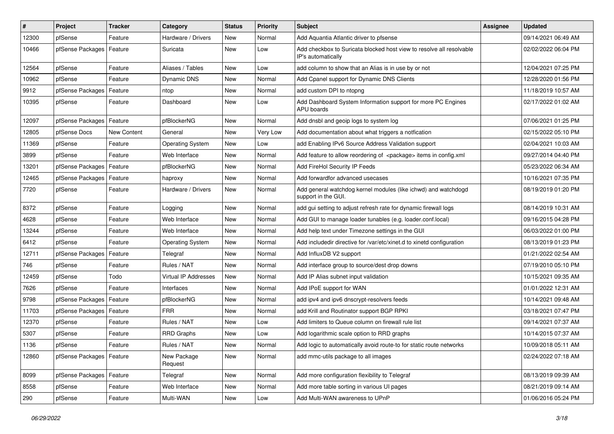| $\vert$ # | Project                    | <b>Tracker</b> | Category                | <b>Status</b> | <b>Priority</b> | <b>Subject</b>                                                                             | <b>Assignee</b> | <b>Updated</b>      |
|-----------|----------------------------|----------------|-------------------------|---------------|-----------------|--------------------------------------------------------------------------------------------|-----------------|---------------------|
| 12300     | pfSense                    | Feature        | Hardware / Drivers      | New           | Normal          | Add Aquantia Atlantic driver to pfsense                                                    |                 | 09/14/2021 06:49 AM |
| 10466     | pfSense Packages   Feature |                | Suricata                | New           | Low             | Add checkbox to Suricata blocked host view to resolve all resolvable<br>IP's automatically |                 | 02/02/2022 06:04 PM |
| 12564     | pfSense                    | Feature        | Aliases / Tables        | <b>New</b>    | Low             | add column to show that an Alias is in use by or not                                       |                 | 12/04/2021 07:25 PM |
| 10962     | pfSense                    | Feature        | Dynamic DNS             | <b>New</b>    | Normal          | Add Cpanel support for Dynamic DNS Clients                                                 |                 | 12/28/2020 01:56 PM |
| 9912      | pfSense Packages           | Feature        | ntop                    | New           | Normal          | add custom DPI to ntopng                                                                   |                 | 11/18/2019 10:57 AM |
| 10395     | pfSense                    | Feature        | Dashboard               | New           | Low             | Add Dashboard System Information support for more PC Engines<br>APU boards                 |                 | 02/17/2022 01:02 AM |
| 12097     | pfSense Packages           | Feature        | pfBlockerNG             | New           | Normal          | Add dnsbl and geoip logs to system log                                                     |                 | 07/06/2021 01:25 PM |
| 12805     | pfSense Docs               | New Content    | General                 | <b>New</b>    | Very Low        | Add documentation about what triggers a notfication                                        |                 | 02/15/2022 05:10 PM |
| 11369     | pfSense                    | Feature        | <b>Operating System</b> | New           | Low             | add Enabling IPv6 Source Address Validation support                                        |                 | 02/04/2021 10:03 AM |
| 3899      | pfSense                    | Feature        | Web Interface           | <b>New</b>    | Normal          | Add feature to allow reordering of <package> items in config.xml</package>                 |                 | 09/27/2014 04:40 PM |
| 13201     | pfSense Packages           | Feature        | pfBlockerNG             | <b>New</b>    | Normal          | Add FireHol Security IP Feeds                                                              |                 | 05/23/2022 06:34 AM |
| 12465     | pfSense Packages           | Feature        | haproxy                 | <b>New</b>    | Normal          | Add forwardfor advanced usecases                                                           |                 | 10/16/2021 07:35 PM |
| 7720      | pfSense                    | Feature        | Hardware / Drivers      | New           | Normal          | Add general watchdog kernel modules (like ichwd) and watchdogd<br>support in the GUI.      |                 | 08/19/2019 01:20 PM |
| 8372      | pfSense                    | Feature        | Logging                 | New           | Normal          | add gui setting to adjust refresh rate for dynamic firewall logs                           |                 | 08/14/2019 10:31 AM |
| 4628      | pfSense                    | Feature        | Web Interface           | <b>New</b>    | Normal          | Add GUI to manage loader tunables (e.g. loader.conf.local)                                 |                 | 09/16/2015 04:28 PM |
| 13244     | pfSense                    | Feature        | Web Interface           | New           | Normal          | Add help text under Timezone settings in the GUI                                           |                 | 06/03/2022 01:00 PM |
| 6412      | pfSense                    | Feature        | <b>Operating System</b> | <b>New</b>    | Normal          | Add includedir directive for /var/etc/xinet.d to xinetd configuration                      |                 | 08/13/2019 01:23 PM |
| 12711     | pfSense Packages           | Feature        | Telegraf                | <b>New</b>    | Normal          | Add InfluxDB V2 support                                                                    |                 | 01/21/2022 02:54 AM |
| 746       | pfSense                    | Feature        | Rules / NAT             | New           | Normal          | Add interface group to source/dest drop downs                                              |                 | 07/19/2010 05:10 PM |
| 12459     | pfSense                    | Todo           | Virtual IP Addresses    | New           | Normal          | Add IP Alias subnet input validation                                                       |                 | 10/15/2021 09:35 AM |
| 7626      | pfSense                    | Feature        | Interfaces              | New           | Normal          | Add IPoE support for WAN                                                                   |                 | 01/01/2022 12:31 AM |
| 9798      | pfSense Packages           | Feature        | pfBlockerNG             | New           | Normal          | add ipv4 and ipv6 dnscrypt-resolvers feeds                                                 |                 | 10/14/2021 09:48 AM |
| 11703     | pfSense Packages           | Feature        | <b>FRR</b>              | <b>New</b>    | Normal          | add Krill and Routinator support BGP RPKI                                                  |                 | 03/18/2021 07:47 PM |
| 12370     | pfSense                    | Feature        | Rules / NAT             | <b>New</b>    | Low             | Add limiters to Queue column on firewall rule list                                         |                 | 09/14/2021 07:37 AM |
| 5307      | pfSense                    | Feature        | <b>RRD Graphs</b>       | New           | Low             | Add logarithmic scale option to RRD graphs                                                 |                 | 10/14/2015 07:37 AM |
| 1136      | pfSense                    | Feature        | Rules / NAT             | New           | Normal          | Add logic to automatically avoid route-to for static route networks                        |                 | 10/09/2018 05:11 AM |
| 12860     | pfSense Packages   Feature |                | New Package<br>Request  | New           | Normal          | add mmc-utils package to all images                                                        |                 | 02/24/2022 07:18 AM |
| 8099      | pfSense Packages   Feature |                | Telegraf                | New           | Normal          | Add more configuration flexibility to Telegraf                                             |                 | 08/13/2019 09:39 AM |
| 8558      | pfSense                    | Feature        | Web Interface           | New           | Normal          | Add more table sorting in various UI pages                                                 |                 | 08/21/2019 09:14 AM |
| 290       | pfSense                    | Feature        | Multi-WAN               | New           | Low             | Add Multi-WAN awareness to UPnP                                                            |                 | 01/06/2016 05:24 PM |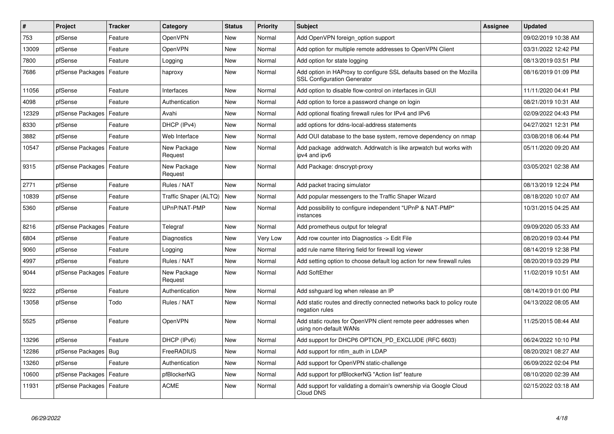| #     | Project                    | <b>Tracker</b> | Category               | <b>Status</b> | <b>Priority</b> | <b>Subject</b>                                                                                             | <b>Assignee</b> | <b>Updated</b>      |
|-------|----------------------------|----------------|------------------------|---------------|-----------------|------------------------------------------------------------------------------------------------------------|-----------------|---------------------|
| 753   | pfSense                    | Feature        | OpenVPN                | <b>New</b>    | Normal          | Add OpenVPN foreign option support                                                                         |                 | 09/02/2019 10:38 AM |
| 13009 | pfSense                    | Feature        | OpenVPN                | <b>New</b>    | Normal          | Add option for multiple remote addresses to OpenVPN Client                                                 |                 | 03/31/2022 12:42 PM |
| 7800  | pfSense                    | Feature        | Logging                | <b>New</b>    | Normal          | Add option for state logging                                                                               |                 | 08/13/2019 03:51 PM |
| 7686  | pfSense Packages           | Feature        | haproxy                | New           | Normal          | Add option in HAProxy to configure SSL defaults based on the Mozilla<br><b>SSL Configuration Generator</b> |                 | 08/16/2019 01:09 PM |
| 11056 | pfSense                    | Feature        | Interfaces             | <b>New</b>    | Normal          | Add option to disable flow-control on interfaces in GUI                                                    |                 | 11/11/2020 04:41 PM |
| 4098  | pfSense                    | Feature        | Authentication         | <b>New</b>    | Normal          | Add option to force a password change on login                                                             |                 | 08/21/2019 10:31 AM |
| 12329 | pfSense Packages           | Feature        | Avahi                  | <b>New</b>    | Normal          | Add optional floating firewall rules for IPv4 and IPv6                                                     |                 | 02/09/2022 04:43 PM |
| 8330  | pfSense                    | Feature        | DHCP (IPv4)            | <b>New</b>    | Normal          | add options for ddns-local-address statements                                                              |                 | 04/27/2021 12:31 PM |
| 3882  | pfSense                    | Feature        | Web Interface          | New           | Normal          | Add OUI database to the base system, remove dependency on nmap                                             |                 | 03/08/2018 06:44 PM |
| 10547 | pfSense Packages           | Feature        | New Package<br>Request | <b>New</b>    | Normal          | Add package addrwatch. Addrwatch is like arpwatch but works with<br>ipv4 and ipv6                          |                 | 05/11/2020 09:20 AM |
| 9315  | pfSense Packages   Feature |                | New Package<br>Request | New           | Normal          | Add Package: dnscrypt-proxy                                                                                |                 | 03/05/2021 02:38 AM |
| 2771  | pfSense                    | Feature        | Rules / NAT            | <b>New</b>    | Normal          | Add packet tracing simulator                                                                               |                 | 08/13/2019 12:24 PM |
| 10839 | pfSense                    | Feature        | Traffic Shaper (ALTQ)  | <b>New</b>    | Normal          | Add popular messengers to the Traffic Shaper Wizard                                                        |                 | 08/18/2020 10:07 AM |
| 5360  | pfSense                    | Feature        | UPnP/NAT-PMP           | <b>New</b>    | Normal          | Add possibility to configure independent "UPnP & NAT-PMP"<br>instances                                     |                 | 10/31/2015 04:25 AM |
| 8216  | pfSense Packages           | Feature        | Telegraf               | <b>New</b>    | Normal          | Add prometheus output for telegraf                                                                         |                 | 09/09/2020 05:33 AM |
| 6804  | pfSense                    | Feature        | Diagnostics            | <b>New</b>    | Very Low        | Add row counter into Diagnostics -> Edit File                                                              |                 | 08/20/2019 03:44 PM |
| 9060  | pfSense                    | Feature        | Logging                | <b>New</b>    | Normal          | add rule name filtering field for firewall log viewer                                                      |                 | 08/14/2019 12:38 PM |
| 4997  | pfSense                    | Feature        | Rules / NAT            | <b>New</b>    | Normal          | Add setting option to choose default log action for new firewall rules                                     |                 | 08/20/2019 03:29 PM |
| 9044  | pfSense Packages           | Feature        | New Package<br>Request | <b>New</b>    | Normal          | <b>Add SoftEther</b>                                                                                       |                 | 11/02/2019 10:51 AM |
| 9222  | pfSense                    | Feature        | Authentication         | <b>New</b>    | Normal          | Add sshguard log when release an IP                                                                        |                 | 08/14/2019 01:00 PM |
| 13058 | pfSense                    | Todo           | Rules / NAT            | New           | Normal          | Add static routes and directly connected networks back to policy route<br>negation rules                   |                 | 04/13/2022 08:05 AM |
| 5525  | pfSense                    | Feature        | OpenVPN                | New           | Normal          | Add static routes for OpenVPN client remote peer addresses when<br>using non-default WANs                  |                 | 11/25/2015 08:44 AM |
| 13296 | pfSense                    | Feature        | DHCP (IPv6)            | New           | Normal          | Add support for DHCP6 OPTION PD EXCLUDE (RFC 6603)                                                         |                 | 06/24/2022 10:10 PM |
| 12286 | pfSense Packages           | Bug            | FreeRADIUS             | New           | Normal          | Add support for ntlm auth in LDAP                                                                          |                 | 08/20/2021 08:27 AM |
| 13260 | pfSense                    | Feature        | Authentication         | New           | Normal          | Add support for OpenVPN static-challenge                                                                   |                 | 06/09/2022 02:04 PM |
| 10600 | pfSense Packages           | Feature        | pfBlockerNG            | New           | Normal          | Add support for pfBlockerNG "Action list" feature                                                          |                 | 08/10/2020 02:39 AM |
| 11931 | pfSense Packages           | Feature        | <b>ACME</b>            | New           | Normal          | Add support for validating a domain's ownership via Google Cloud<br>Cloud DNS                              |                 | 02/15/2022 03:18 AM |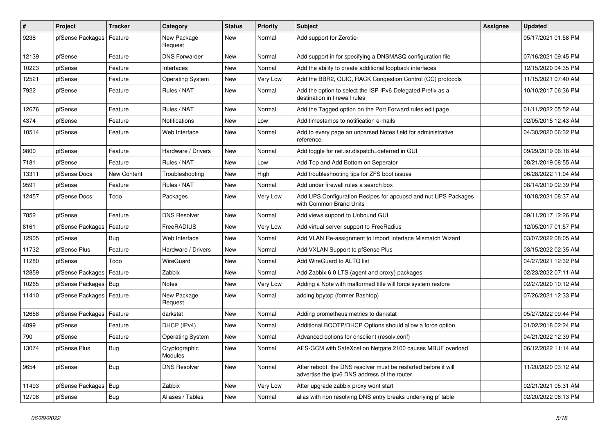| $\vert$ # | Project                    | <b>Tracker</b>     | Category                 | <b>Status</b> | <b>Priority</b> | <b>Subject</b>                                                                                                   | <b>Assignee</b> | <b>Updated</b>      |
|-----------|----------------------------|--------------------|--------------------------|---------------|-----------------|------------------------------------------------------------------------------------------------------------------|-----------------|---------------------|
| 9238      | pfSense Packages           | Feature            | New Package<br>Request   | New           | Normal          | Add support for Zerotier                                                                                         |                 | 05/17/2021 01:58 PM |
| 12139     | pfSense                    | Feature            | <b>DNS Forwarder</b>     | New           | Normal          | Add support in for specifying a DNSMASQ configuration file                                                       |                 | 07/16/2021 09:45 PM |
| 10223     | pfSense                    | Feature            | Interfaces               | <b>New</b>    | Normal          | Add the ability to create additional loopback interfaces                                                         |                 | 12/15/2020 04:35 PM |
| 12521     | pfSense                    | Feature            | <b>Operating System</b>  | <b>New</b>    | Very Low        | Add the BBR2, QUIC, RACK Congestion Control (CC) protocols                                                       |                 | 11/15/2021 07:40 AM |
| 7922      | pfSense                    | Feature            | Rules / NAT              | New           | Normal          | Add the option to select the ISP IPv6 Delegated Prefix as a<br>destination in firewall rules                     |                 | 10/10/2017 06:36 PM |
| 12676     | pfSense                    | Feature            | Rules / NAT              | <b>New</b>    | Normal          | Add the Tagged option on the Port Forward rules edit page                                                        |                 | 01/11/2022 05:52 AM |
| 4374      | pfSense                    | Feature            | Notifications            | New           | Low             | Add timestamps to notification e-mails                                                                           |                 | 02/05/2015 12:43 AM |
| 10514     | pfSense                    | Feature            | Web Interface            | <b>New</b>    | Normal          | Add to every page an unparsed Notes field for administrative<br>reference                                        |                 | 04/30/2020 06:32 PM |
| 9800      | pfSense                    | Feature            | Hardware / Drivers       | <b>New</b>    | Normal          | Add toggle for net.isr.dispatch=deferred in GUI                                                                  |                 | 09/29/2019 06:18 AM |
| 7181      | pfSense                    | Feature            | Rules / NAT              | <b>New</b>    | Low             | Add Top and Add Bottom on Seperator                                                                              |                 | 08/21/2019 08:55 AM |
| 13311     | pfSense Docs               | <b>New Content</b> | Troubleshooting          | <b>New</b>    | High            | Add troubleshooting tips for ZFS boot issues                                                                     |                 | 06/28/2022 11:04 AM |
| 9591      | pfSense                    | Feature            | Rules / NAT              | <b>New</b>    | Normal          | Add under firewall rules a search box                                                                            |                 | 08/14/2019 02:39 PM |
| 12457     | pfSense Docs               | Todo               | Packages                 | New           | Very Low        | Add UPS Configuration Recipes for apcupsd and nut UPS Packages<br>with Common Brand Units                        |                 | 10/18/2021 08:37 AM |
| 7852      | pfSense                    | Feature            | <b>DNS Resolver</b>      | <b>New</b>    | Normal          | Add views support to Unbound GUI                                                                                 |                 | 09/11/2017 12:26 PM |
| 8161      | pfSense Packages   Feature |                    | FreeRADIUS               | New           | Very Low        | Add virtual server support to FreeRadius                                                                         |                 | 12/05/2017 01:57 PM |
| 12905     | pfSense                    | Bug                | Web Interface            | <b>New</b>    | Normal          | Add VLAN Re-assignment to Import Interface Mismatch Wizard                                                       |                 | 03/07/2022 08:05 AM |
| 11732     | pfSense Plus               | Feature            | Hardware / Drivers       | <b>New</b>    | Normal          | Add VXLAN Support to pfSense Plus                                                                                |                 | 03/15/2022 02:35 AM |
| 11280     | pfSense                    | Todo               | WireGuard                | New           | Normal          | Add WireGuard to ALTQ list                                                                                       |                 | 04/27/2021 12:32 PM |
| 12859     | pfSense Packages           | Feature            | Zabbix                   | New           | Normal          | Add Zabbix 6.0 LTS (agent and proxy) packages                                                                    |                 | 02/23/2022 07:11 AM |
| 10265     | pfSense Packages   Bug     |                    | Notes                    | New           | Very Low        | Adding a Note with malformed title will force system restore                                                     |                 | 02/27/2020 10:12 AM |
| 11410     | pfSense Packages   Feature |                    | New Package<br>Request   | New           | Normal          | adding bpytop (former Bashtop)                                                                                   |                 | 07/26/2021 12:33 PM |
| 12658     | pfSense Packages   Feature |                    | darkstat                 | New           | Normal          | Adding prometheus metrics to darkstat                                                                            |                 | 05/27/2022 09:44 PM |
| 4899      | pfSense                    | Feature            | DHCP (IPv4)              | New           | Normal          | Additional BOOTP/DHCP Options should allow a force option                                                        |                 | 01/02/2018 02:24 PM |
| 790       | pfSense                    | Feature            | <b>Operating System</b>  | <b>New</b>    | Normal          | Advanced options for dnsclient (resolv.conf)                                                                     |                 | 04/21/2022 12:39 PM |
| 13074     | pfSense Plus               | Bug                | Cryptographic<br>Modules | New           | Normal          | AES-GCM with SafeXcel on Netgate 2100 causes MBUF overload                                                       |                 | 06/12/2022 11:14 AM |
| 9654      | pfSense                    | <b>Bug</b>         | <b>DNS Resolver</b>      | New           | Normal          | After reboot, the DNS resolver must be restarted before it will<br>advertise the ipv6 DNS address of the router. |                 | 11/20/2020 03:12 AM |
| 11493     | pfSense Packages   Bug     |                    | Zabbix                   | New           | Very Low        | After upgrade zabbix proxy wont start                                                                            |                 | 02/21/2021 05:31 AM |
| 12708     | pfSense                    | Bug                | Aliases / Tables         | New           | Normal          | alias with non resolving DNS entry breaks underlying pf table                                                    |                 | 02/20/2022 06:13 PM |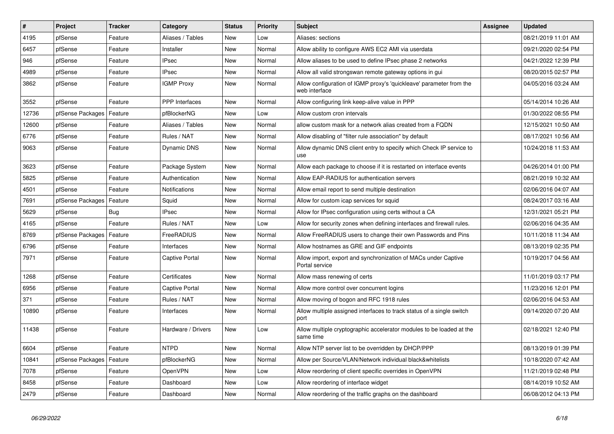| $\sharp$ | Project          | <b>Tracker</b> | Category              | <b>Status</b> | <b>Priority</b> | <b>Subject</b>                                                                       | <b>Assignee</b> | <b>Updated</b>      |
|----------|------------------|----------------|-----------------------|---------------|-----------------|--------------------------------------------------------------------------------------|-----------------|---------------------|
| 4195     | pfSense          | Feature        | Aliases / Tables      | <b>New</b>    | Low             | Aliases: sections                                                                    |                 | 08/21/2019 11:01 AM |
| 6457     | pfSense          | Feature        | Installer             | New           | Normal          | Allow ability to configure AWS EC2 AMI via userdata                                  |                 | 09/21/2020 02:54 PM |
| 946      | pfSense          | Feature        | <b>IPsec</b>          | New           | Normal          | Allow aliases to be used to define IPsec phase 2 networks                            |                 | 04/21/2022 12:39 PM |
| 4989     | pfSense          | Feature        | <b>IPsec</b>          | New           | Normal          | Allow all valid strongswan remote gateway options in gui                             |                 | 08/20/2015 02:57 PM |
| 3862     | pfSense          | Feature        | <b>IGMP Proxy</b>     | New           | Normal          | Allow configuration of IGMP proxy's 'quickleave' parameter from the<br>web interface |                 | 04/05/2016 03:24 AM |
| 3552     | pfSense          | Feature        | <b>PPP</b> Interfaces | <b>New</b>    | Normal          | Allow configuring link keep-alive value in PPP                                       |                 | 05/14/2014 10:26 AM |
| 12736    | pfSense Packages | Feature        | pfBlockerNG           | <b>New</b>    | Low             | Allow custom cron intervals                                                          |                 | 01/30/2022 08:55 PM |
| 12600    | pfSense          | Feature        | Aliases / Tables      | New           | Normal          | allow custom mask for a network alias created from a FQDN                            |                 | 12/15/2021 10:50 AM |
| 6776     | pfSense          | Feature        | Rules / NAT           | New           | Normal          | Allow disabling of "filter rule association" by default                              |                 | 08/17/2021 10:56 AM |
| 9063     | pfSense          | Feature        | Dynamic DNS           | <b>New</b>    | Normal          | Allow dynamic DNS client entry to specify which Check IP service to<br>use           |                 | 10/24/2018 11:53 AM |
| 3623     | pfSense          | Feature        | Package System        | New           | Normal          | Allow each package to choose if it is restarted on interface events                  |                 | 04/26/2014 01:00 PM |
| 5825     | pfSense          | Feature        | Authentication        | <b>New</b>    | Normal          | Allow EAP-RADIUS for authentication servers                                          |                 | 08/21/2019 10:32 AM |
| 4501     | pfSense          | Feature        | Notifications         | <b>New</b>    | Normal          | Allow email report to send multiple destination                                      |                 | 02/06/2016 04:07 AM |
| 7691     | pfSense Packages | Feature        | Squid                 | <b>New</b>    | Normal          | Allow for custom icap services for squid                                             |                 | 08/24/2017 03:16 AM |
| 5629     | pfSense          | Bug            | <b>IPsec</b>          | <b>New</b>    | Normal          | Allow for IPsec configuration using certs without a CA                               |                 | 12/31/2021 05:21 PM |
| 4165     | pfSense          | Feature        | Rules / NAT           | <b>New</b>    | Low             | Allow for security zones when defining interfaces and firewall rules.                |                 | 02/06/2016 04:35 AM |
| 8769     | pfSense Packages | Feature        | FreeRADIUS            | <b>New</b>    | Normal          | Allow FreeRADIUS users to change their own Passwords and Pins                        |                 | 10/11/2018 11:34 AM |
| 6796     | pfSense          | Feature        | Interfaces            | New           | Normal          | Allow hostnames as GRE and GIF endpoints                                             |                 | 08/13/2019 02:35 PM |
| 7971     | pfSense          | Feature        | Captive Portal        | <b>New</b>    | Normal          | Allow import, export and synchronization of MACs under Captive<br>Portal service     |                 | 10/19/2017 04:56 AM |
| 1268     | pfSense          | Feature        | Certificates          | <b>New</b>    | Normal          | Allow mass renewing of certs                                                         |                 | 11/01/2019 03:17 PM |
| 6956     | pfSense          | Feature        | Captive Portal        | <b>New</b>    | Normal          | Allow more control over concurrent logins                                            |                 | 11/23/2016 12:01 PM |
| 371      | pfSense          | Feature        | Rules / NAT           | <b>New</b>    | Normal          | Allow moving of bogon and RFC 1918 rules                                             |                 | 02/06/2016 04:53 AM |
| 10890    | pfSense          | Feature        | Interfaces            | <b>New</b>    | Normal          | Allow multiple assigned interfaces to track status of a single switch<br>port        |                 | 09/14/2020 07:20 AM |
| 11438    | pfSense          | Feature        | Hardware / Drivers    | New           | Low             | Allow multiple cryptographic accelerator modules to be loaded at the<br>same time    |                 | 02/18/2021 12:40 PM |
| 6604     | pfSense          | Feature        | <b>NTPD</b>           | <b>New</b>    | Normal          | Allow NTP server list to be overridden by DHCP/PPP                                   |                 | 08/13/2019 01:39 PM |
| 10841    | pfSense Packages | Feature        | pfBlockerNG           | New           | Normal          | Allow per Source/VLAN/Network individual black&whitelists                            |                 | 10/18/2020 07:42 AM |
| 7078     | pfSense          | Feature        | OpenVPN               | New           | Low             | Allow reordering of client specific overrides in OpenVPN                             |                 | 11/21/2019 02:48 PM |
| 8458     | pfSense          | Feature        | Dashboard             | <b>New</b>    | Low             | Allow reordering of interface widget                                                 |                 | 08/14/2019 10:52 AM |
| 2479     | pfSense          | Feature        | Dashboard             | New           | Normal          | Allow reordering of the traffic graphs on the dashboard                              |                 | 06/08/2012 04:13 PM |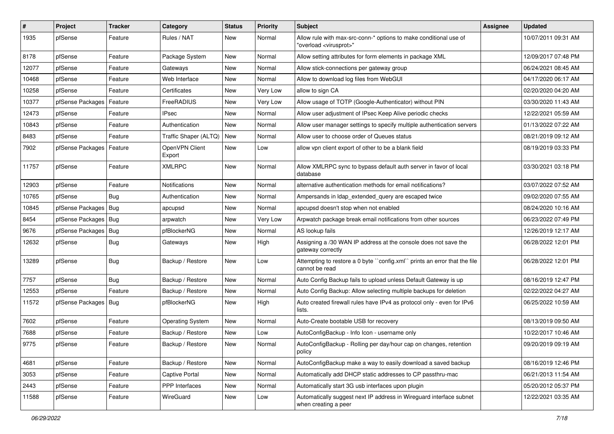| $\sharp$ | Project                | <b>Tracker</b> | Category                 | <b>Status</b> | Priority | Subject                                                                                                 | <b>Assignee</b> | <b>Updated</b>      |
|----------|------------------------|----------------|--------------------------|---------------|----------|---------------------------------------------------------------------------------------------------------|-----------------|---------------------|
| 1935     | pfSense                | Feature        | Rules / NAT              | New           | Normal   | Allow rule with max-src-conn-* options to make conditional use of<br>"overload <virusprot>"</virusprot> |                 | 10/07/2011 09:31 AM |
| 8178     | pfSense                | Feature        | Package System           | New           | Normal   | Allow setting attributes for form elements in package XML                                               |                 | 12/09/2017 07:48 PM |
| 12077    | pfSense                | Feature        | Gateways                 | New           | Normal   | Allow stick-connections per gateway group                                                               |                 | 06/24/2021 08:45 AM |
| 10468    | pfSense                | Feature        | Web Interface            | <b>New</b>    | Normal   | Allow to download log files from WebGUI                                                                 |                 | 04/17/2020 06:17 AM |
| 10258    | pfSense                | Feature        | Certificates             | New           | Very Low | allow to sign CA                                                                                        |                 | 02/20/2020 04:20 AM |
| 10377    | pfSense Packages       | Feature        | FreeRADIUS               | New           | Very Low | Allow usage of TOTP (Google-Authenticator) without PIN                                                  |                 | 03/30/2020 11:43 AM |
| 12473    | pfSense                | Feature        | <b>IPsec</b>             | <b>New</b>    | Normal   | Allow user adjustment of IPsec Keep Alive periodic checks                                               |                 | 12/22/2021 05:59 AM |
| 10843    | pfSense                | Feature        | Authentication           | New           | Normal   | Allow user manager settings to specify multiple authentication servers                                  |                 | 01/13/2022 07:22 AM |
| 8483     | pfSense                | Feature        | Traffic Shaper (ALTQ)    | <b>New</b>    | Normal   | Allow user to choose order of Queues status                                                             |                 | 08/21/2019 09:12 AM |
| 7902     | pfSense Packages       | Feature        | OpenVPN Client<br>Export | New           | Low      | allow vpn client export of other to be a blank field                                                    |                 | 08/19/2019 03:33 PM |
| 11757    | pfSense                | Feature        | <b>XMLRPC</b>            | <b>New</b>    | Normal   | Allow XMLRPC sync to bypass default auth server in favor of local<br>database                           |                 | 03/30/2021 03:18 PM |
| 12903    | pfSense                | Feature        | Notifications            | New           | Normal   | alternative authentication methods for email notifications?                                             |                 | 03/07/2022 07:52 AM |
| 10765    | pfSense                | <b>Bug</b>     | Authentication           | New           | Normal   | Ampersands in Idap_extended_query are escaped twice                                                     |                 | 09/02/2020 07:55 AM |
| 10845    | pfSense Packages       | Bug            | apcupsd                  | New           | Normal   | apcupsd doesn't stop when not enabled                                                                   |                 | 08/24/2020 10:16 AM |
| 8454     | pfSense Packages       | Bug            | arpwatch                 | <b>New</b>    | Very Low | Arpwatch package break email notifications from other sources                                           |                 | 06/23/2022 07:49 PM |
| 9676     | pfSense Packages       | Bug            | pfBlockerNG              | New           | Normal   | AS lookup fails                                                                                         |                 | 12/26/2019 12:17 AM |
| 12632    | pfSense                | <b>Bug</b>     | Gateways                 | New           | High     | Assigning a /30 WAN IP address at the console does not save the<br>gateway correctly                    |                 | 06/28/2022 12:01 PM |
| 13289    | pfSense                | <b>Bug</b>     | Backup / Restore         | New           | Low      | Attempting to restore a 0 byte "config.xml" prints an error that the file<br>cannot be read             |                 | 06/28/2022 12:01 PM |
| 7757     | pfSense                | <b>Bug</b>     | Backup / Restore         | <b>New</b>    | Normal   | Auto Config Backup fails to upload unless Default Gateway is up                                         |                 | 08/16/2019 12:47 PM |
| 12553    | pfSense                | Feature        | Backup / Restore         | New           | Normal   | Auto Config Backup: Allow selecting multiple backups for deletion                                       |                 | 02/22/2022 04:27 AM |
| 11572    | pfSense Packages   Bug |                | pfBlockerNG              | <b>New</b>    | High     | Auto created firewall rules have IPv4 as protocol only - even for IPv6<br>lists.                        |                 | 06/25/2022 10:59 AM |
| 7602     | pfSense                | Feature        | <b>Operating System</b>  | New           | Normal   | Auto-Create bootable USB for recovery                                                                   |                 | 08/13/2019 09:50 AM |
| 7688     | pfSense                | Feature        | Backup / Restore         | <b>New</b>    | Low      | AutoConfigBackup - Info Icon - username only                                                            |                 | 10/22/2017 10:46 AM |
| 9775     | pfSense                | Feature        | Backup / Restore         | New           | Normal   | AutoConfigBackup - Rolling per day/hour cap on changes, retention<br>policy                             |                 | 09/20/2019 09:19 AM |
| 4681     | pfSense                | Feature        | Backup / Restore         | New           | Normal   | AutoConfigBackup make a way to easily download a saved backup                                           |                 | 08/16/2019 12:46 PM |
| 3053     | pfSense                | Feature        | Captive Portal           | New           | Normal   | Automatically add DHCP static addresses to CP passthru-mac                                              |                 | 06/21/2013 11:54 AM |
| 2443     | pfSense                | Feature        | PPP Interfaces           | New           | Normal   | Automatically start 3G usb interfaces upon plugin                                                       |                 | 05/20/2012 05:37 PM |
| 11588    | pfSense                | Feature        | WireGuard                | New           | Low      | Automatically suggest next IP address in Wireguard interface subnet<br>when creating a peer             |                 | 12/22/2021 03:35 AM |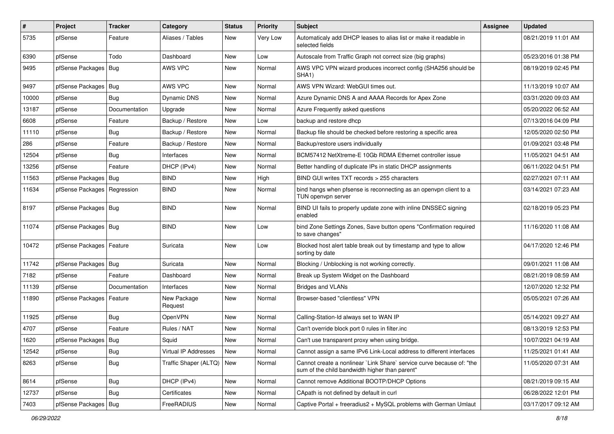| $\vert$ # | Project                       | <b>Tracker</b> | Category               | <b>Status</b> | Priority | Subject                                                                                                                 | <b>Assignee</b> | <b>Updated</b>      |
|-----------|-------------------------------|----------------|------------------------|---------------|----------|-------------------------------------------------------------------------------------------------------------------------|-----------------|---------------------|
| 5735      | pfSense                       | Feature        | Aliases / Tables       | New           | Very Low | Automaticaly add DHCP leases to alias list or make it readable in<br>selected fields                                    |                 | 08/21/2019 11:01 AM |
| 6390      | pfSense                       | Todo           | Dashboard              | New           | Low      | Autoscale from Traffic Graph not correct size (big graphs)                                                              |                 | 05/23/2016 01:38 PM |
| 9495      | pfSense Packages   Bug        |                | AWS VPC                | New           | Normal   | AWS VPC VPN wizard produces incorrect config (SHA256 should be<br>SHA1)                                                 |                 | 08/19/2019 02:45 PM |
| 9497      | pfSense Packages              | Bug            | AWS VPC                | <b>New</b>    | Normal   | AWS VPN Wizard: WebGUI times out.                                                                                       |                 | 11/13/2019 10:07 AM |
| 10000     | pfSense                       | <b>Bug</b>     | Dynamic DNS            | New           | Normal   | Azure Dynamic DNS A and AAAA Records for Apex Zone                                                                      |                 | 03/31/2020 09:03 AM |
| 13187     | pfSense                       | Documentation  | Upgrade                | <b>New</b>    | Normal   | Azure Frequently asked questions                                                                                        |                 | 05/20/2022 06:52 AM |
| 6608      | pfSense                       | Feature        | Backup / Restore       | New           | Low      | backup and restore dhcp                                                                                                 |                 | 07/13/2016 04:09 PM |
| 11110     | pfSense                       | <b>Bug</b>     | Backup / Restore       | <b>New</b>    | Normal   | Backup file should be checked before restoring a specific area                                                          |                 | 12/05/2020 02:50 PM |
| 286       | pfSense                       | Feature        | Backup / Restore       | New           | Normal   | Backup/restore users individually                                                                                       |                 | 01/09/2021 03:48 PM |
| 12504     | pfSense                       | Bug            | Interfaces             | New           | Normal   | BCM57412 NetXtreme-E 10Gb RDMA Ethernet controller issue                                                                |                 | 11/05/2021 04:51 AM |
| 13256     | pfSense                       | Feature        | DHCP (IPv4)            | New           | Normal   | Better handling of duplicate IPs in static DHCP assignments                                                             |                 | 06/11/2022 04:51 PM |
| 11563     | pfSense Packages              | Bug            | <b>BIND</b>            | New           | High     | BIND GUI writes TXT records > 255 characters                                                                            |                 | 02/27/2021 07:11 AM |
| 11634     | pfSense Packages   Regression |                | <b>BIND</b>            | New           | Normal   | bind hangs when pfsense is reconnecting as an openvpn client to a<br>TUN openypn server                                 |                 | 03/14/2021 07:23 AM |
| 8197      | pfSense Packages   Bug        |                | <b>BIND</b>            | <b>New</b>    | Normal   | BIND UI fails to properly update zone with inline DNSSEC signing<br>enabled                                             |                 | 02/18/2019 05:23 PM |
| 11074     | pfSense Packages   Bug        |                | <b>BIND</b>            | New           | Low      | bind Zone Settings Zones, Save button opens "Confirmation required<br>to save changes"                                  |                 | 11/16/2020 11:08 AM |
| 10472     | pfSense Packages   Feature    |                | Suricata               | New           | Low      | Blocked host alert table break out by timestamp and type to allow<br>sorting by date                                    |                 | 04/17/2020 12:46 PM |
| 11742     | pfSense Packages   Bug        |                | Suricata               | New           | Normal   | Blocking / Unblocking is not working correctly.                                                                         |                 | 09/01/2021 11:08 AM |
| 7182      | pfSense                       | Feature        | Dashboard              | New           | Normal   | Break up System Widget on the Dashboard                                                                                 |                 | 08/21/2019 08:59 AM |
| 11139     | pfSense                       | Documentation  | Interfaces             | New           | Normal   | <b>Bridges and VLANs</b>                                                                                                |                 | 12/07/2020 12:32 PM |
| 11890     | pfSense Packages   Feature    |                | New Package<br>Request | <b>New</b>    | Normal   | Browser-based "clientless" VPN                                                                                          |                 | 05/05/2021 07:26 AM |
| 11925     | pfSense                       | Bug            | <b>OpenVPN</b>         | New           | Normal   | Calling-Station-Id always set to WAN IP                                                                                 |                 | 05/14/2021 09:27 AM |
| 4707      | pfSense                       | Feature        | Rules / NAT            | <b>New</b>    | Normal   | Can't override block port 0 rules in filter.inc                                                                         |                 | 08/13/2019 12:53 PM |
| 1620      | pfSense Packages   Bug        |                | Squid                  | New           | Normal   | Can't use transparent proxy when using bridge.                                                                          |                 | 10/07/2021 04:19 AM |
| 12542     | pfSense                       | <b>Bug</b>     | Virtual IP Addresses   | New           | Normal   | Cannot assign a same IPv6 Link-Local address to different interfaces                                                    |                 | 11/25/2021 01:41 AM |
| 8263      | pfSense                       | <b>Bug</b>     | Traffic Shaper (ALTQ)  | New           | Normal   | Cannot create a nonlinear `Link Share` service curve because of: "the<br>sum of the child bandwidth higher than parent" |                 | 11/05/2020 07:31 AM |
| 8614      | pfSense                       | Bug            | DHCP (IPv4)            | New           | Normal   | Cannot remove Additional BOOTP/DHCP Options                                                                             |                 | 08/21/2019 09:15 AM |
| 12737     | pfSense                       | Bug            | Certificates           | New           | Normal   | CApath is not defined by default in curl                                                                                |                 | 06/28/2022 12:01 PM |
| 7403      | pfSense Packages   Bug        |                | FreeRADIUS             | New           | Normal   | Captive Portal + freeradius2 + MySQL problems with German Umlaut                                                        |                 | 03/17/2017 09:12 AM |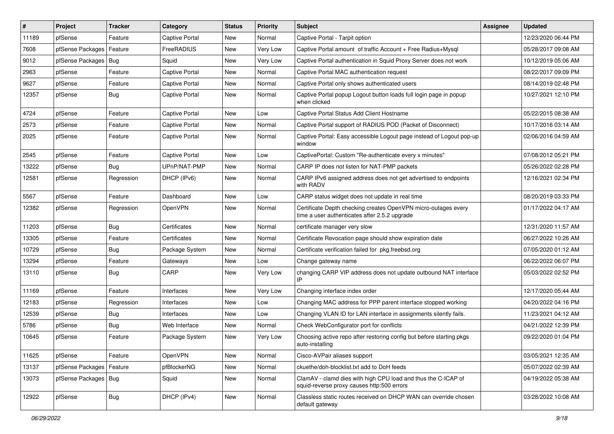| $\vert$ # | Project                | <b>Tracker</b> | Category              | <b>Status</b> | <b>Priority</b> | Subject                                                                                                         | Assignee | <b>Updated</b>      |
|-----------|------------------------|----------------|-----------------------|---------------|-----------------|-----------------------------------------------------------------------------------------------------------------|----------|---------------------|
| 11189     | pfSense                | Feature        | Captive Portal        | New           | Normal          | Captive Portal - Tarpit option                                                                                  |          | 12/23/2020 06:44 PM |
| 7608      | pfSense Packages       | Feature        | FreeRADIUS            | New           | Very Low        | Captive Portal amount of traffic Account + Free Radius+Mysql                                                    |          | 05/28/2017 09:08 AM |
| 9012      | pfSense Packages       | Bug            | Squid                 | New           | Very Low        | Captive Portal authentication in Squid Proxy Server does not work                                               |          | 10/12/2019 05:06 AM |
| 2963      | pfSense                | Feature        | Captive Portal        | <b>New</b>    | Normal          | Captive Portal MAC authentication request                                                                       |          | 08/22/2017 09:09 PM |
| 9627      | pfSense                | Feature        | Captive Portal        | New           | Normal          | Captive Portal only shows authenticated users                                                                   |          | 08/14/2019 02:48 PM |
| 12357     | pfSense                | Bug            | <b>Captive Portal</b> | New           | Normal          | Captive Portal popup Logout button loads full login page in popup<br>when clicked                               |          | 10/27/2021 12:10 PM |
| 4724      | pfSense                | Feature        | <b>Captive Portal</b> | New           | Low             | Captive Portal Status Add Client Hostname                                                                       |          | 05/22/2015 08:38 AM |
| 2573      | pfSense                | Feature        | Captive Portal        | New           | Normal          | Captive Portal support of RADIUS POD (Packet of Disconnect)                                                     |          | 10/17/2016 03:14 AM |
| 2025      | pfSense                | Feature        | Captive Portal        | New           | Normal          | Captive Portal: Easy accessible Logout page instead of Logout pop-up<br>window                                  |          | 02/06/2016 04:59 AM |
| 2545      | pfSense                | Feature        | Captive Portal        | New           | Low             | CaptivePortal: Custom "Re-authenticate every x minutes"                                                         |          | 07/08/2012 05:21 PM |
| 13222     | pfSense                | Bug            | UPnP/NAT-PMP          | New           | Normal          | CARP IP does not listen for NAT-PMP packets                                                                     |          | 05/26/2022 02:28 PM |
| 12581     | pfSense                | Regression     | DHCP (IPv6)           | New           | Normal          | CARP IPv6 assigned address does not get advertised to endpoints<br>with RADV                                    |          | 12/16/2021 02:34 PM |
| 5567      | pfSense                | Feature        | Dashboard             | <b>New</b>    | Low             | CARP status widget does not update in real time                                                                 |          | 08/20/2019 03:33 PM |
| 12382     | pfSense                | Regression     | OpenVPN               | New           | Normal          | Certificate Depth checking creates OpenVPN micro-outages every<br>time a user authenticates after 2.5.2 upgrade |          | 01/17/2022 04:17 AM |
| 11203     | pfSense                | Bug            | Certificates          | New           | Normal          | certificate manager very slow                                                                                   |          | 12/31/2020 11:57 AM |
| 13305     | pfSense                | Feature        | Certificates          | <b>New</b>    | Normal          | Certificate Revocation page should show expiration date                                                         |          | 06/27/2022 10:26 AM |
| 10729     | pfSense                | <b>Bug</b>     | Package System        | <b>New</b>    | Normal          | Certificate verification failed for pkg.freebsd.org                                                             |          | 07/05/2020 01:12 AM |
| 13294     | pfSense                | Feature        | Gateways              | New           | Low             | Change gateway name                                                                                             |          | 06/22/2022 06:07 PM |
| 13110     | pfSense                | <b>Bug</b>     | CARP                  | New           | Very Low        | changing CARP VIP address does not update outbound NAT interface<br>IP                                          |          | 05/03/2022 02:52 PM |
| 11169     | pfSense                | Feature        | Interfaces            | New           | Very Low        | Changing interface index order                                                                                  |          | 12/17/2020 05:44 AM |
| 12183     | pfSense                | Regression     | Interfaces            | <b>New</b>    | Low             | Changing MAC address for PPP parent interface stopped working                                                   |          | 04/20/2022 04:16 PM |
| 12539     | pfSense                | Bug            | Interfaces            | New           | Low             | Changing VLAN ID for LAN interface in assignments silently fails.                                               |          | 11/23/2021 04:12 AM |
| 5786      | pfSense                | <b>Bug</b>     | Web Interface         | New           | Normal          | Check WebConfigurator port for conflicts                                                                        |          | 04/21/2022 12:39 PM |
| 10645     | pfSense                | Feature        | Package System        | New           | Very Low        | Choosing active repo after restoring config but before starting pkgs<br>auto-installing                         |          | 09/22/2020 01:04 PM |
| 11625     | pfSense                | Feature        | OpenVPN               | New           | Normal          | Cisco-AVPair aliases support                                                                                    |          | 03/05/2021 12:35 AM |
| 13137     | pfSense Packages       | Feature        | pfBlockerNG           | New           | Normal          | ckuethe/doh-blocklist.txt add to DoH feeds                                                                      |          | 05/07/2022 02:39 AM |
| 13073     | pfSense Packages   Bug |                | Squid                 | New           | Normal          | ClamAV - clamd dies with high CPU load and thus the C-ICAP of<br>squid-reverse proxy causes http:500 errors     |          | 04/19/2022 05:38 AM |
| 12922     | pfSense                | <b>Bug</b>     | DHCP (IPv4)           | New           | Normal          | Classless static routes received on DHCP WAN can override chosen<br>default gateway                             |          | 03/28/2022 10:08 AM |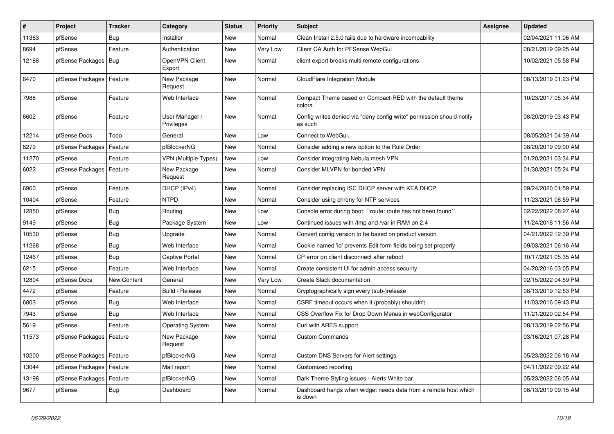| $\vert$ # | Project                    | <b>Tracker</b> | Category                     | <b>Status</b> | <b>Priority</b> | <b>Subject</b>                                                                   | <b>Assignee</b> | <b>Updated</b>      |
|-----------|----------------------------|----------------|------------------------------|---------------|-----------------|----------------------------------------------------------------------------------|-----------------|---------------------|
| 11363     | pfSense                    | Bug            | Installer                    | <b>New</b>    | Normal          | Clean Install 2.5.0 fails due to hardware incompability                          |                 | 02/04/2021 11:06 AM |
| 8694      | pfSense                    | Feature        | Authentication               | <b>New</b>    | Very Low        | Client CA Auth for PFSense WebGui                                                |                 | 08/21/2019 09:25 AM |
| 12188     | pfSense Packages   Bug     |                | OpenVPN Client<br>Export     | <b>New</b>    | Normal          | client export breaks multi remote configurations                                 |                 | 10/02/2021 05:58 PM |
| 6470      | pfSense Packages   Feature |                | New Package<br>Request       | <b>New</b>    | Normal          | CloudFlare Integration Module                                                    |                 | 08/13/2019 01:23 PM |
| 7988      | pfSense                    | Feature        | Web Interface                | New           | Normal          | Compact Theme based on Compact-RED with the default theme<br>colors.             |                 | 10/23/2017 05:34 AM |
| 6602      | pfSense                    | Feature        | User Manager /<br>Privileges | New           | Normal          | Config writes denied via "deny config write" permission should notify<br>as such |                 | 08/20/2019 03:43 PM |
| 12214     | pfSense Docs               | Todo           | General                      | <b>New</b>    | Low             | Connect to WebGui.                                                               |                 | 08/05/2021 04:39 AM |
| 8279      | pfSense Packages           | Feature        | pfBlockerNG                  | New           | Normal          | Consider adding a new option to the Rule Order                                   |                 | 08/20/2019 09:00 AM |
| 11270     | pfSense                    | Feature        | <b>VPN (Multiple Types)</b>  | New           | Low             | Consider integrating Nebula mesh VPN                                             |                 | 01/20/2021 03:34 PM |
| 6022      | pfSense Packages   Feature |                | New Package<br>Request       | New           | Normal          | Consider MLVPN for bonded VPN                                                    |                 | 01/30/2021 05:24 PM |
| 6960      | pfSense                    | Feature        | DHCP (IPv4)                  | <b>New</b>    | Normal          | Consider replacing ISC DHCP server with KEA DHCP                                 |                 | 09/24/2020 01:59 PM |
| 10404     | pfSense                    | Feature        | <b>NTPD</b>                  | New           | Normal          | Consider using chrony for NTP services                                           |                 | 11/23/2021 06:59 PM |
| 12850     | pfSense                    | <b>Bug</b>     | Routing                      | <b>New</b>    | Low             | Console error during boot: "route: route has not been found"                     |                 | 02/22/2022 08:27 AM |
| 9149      | pfSense                    | <b>Bug</b>     | Package System               | New           | Low             | Continued issues with /tmp and /var in RAM on 2.4                                |                 | 11/24/2018 11:56 AM |
| 10530     | pfSense                    | <b>Bug</b>     | Upgrade                      | <b>New</b>    | Normal          | Convert config version to be based on product version                            |                 | 04/21/2022 12:39 PM |
| 11268     | pfSense                    | Bug            | Web Interface                | <b>New</b>    | Normal          | Cookie named 'id' prevents Edit form fields being set properly                   |                 | 09/03/2021 06:16 AM |
| 12467     | pfSense                    | <b>Bug</b>     | Captive Portal               | New           | Normal          | CP error on client disconnect after reboot                                       |                 | 10/17/2021 05:35 AM |
| 6215      | pfSense                    | Feature        | Web Interface                | New           | Normal          | Create consistent UI for admin access security                                   |                 | 04/20/2016 03:05 PM |
| 12804     | pfSense Docs               | New Content    | General                      | <b>New</b>    | Very Low        | Create Slack documentation                                                       |                 | 02/15/2022 04:59 PM |
| 4472      | pfSense                    | Feature        | Build / Release              | New           | Normal          | Cryptographically sign every (sub-)release                                       |                 | 08/13/2019 12:53 PM |
| 6803      | pfSense                    | <b>Bug</b>     | Web Interface                | <b>New</b>    | Normal          | CSRF timeout occurs when it (probably) shouldn't                                 |                 | 11/03/2016 09:43 PM |
| 7943      | pfSense                    | <b>Bug</b>     | Web Interface                | New           | Normal          | CSS Overflow Fix for Drop Down Menus in webConfigurator                          |                 | 11/21/2020 02:54 PM |
| 5619      | pfSense                    | Feature        | <b>Operating System</b>      | New           | Normal          | Curl with ARES support                                                           |                 | 08/13/2019 02:56 PM |
| 11573     | pfSense Packages   Feature |                | New Package<br>Request       | <b>New</b>    | Normal          | <b>Custom Commands</b>                                                           |                 | 03/16/2021 07:28 PM |
| 13200     | pfSense Packages   Feature |                | pfBlockerNG                  | New           | Normal          | Custom DNS Servers for Alert settings                                            |                 | 05/23/2022 06:16 AM |
| 13044     | pfSense Packages           | Feature        | Mail report                  | New           | Normal          | Customized reporting                                                             |                 | 04/11/2022 09:22 AM |
| 13198     | pfSense Packages   Feature |                | pfBlockerNG                  | New           | Normal          | Dark Theme Styling issues - Alerts White bar                                     |                 | 05/23/2022 06:05 AM |
| 9677      | pfSense                    | <b>Bug</b>     | Dashboard                    | New           | Normal          | Dashboard hangs when widget needs data from a remote host which<br>is down       |                 | 08/13/2019 09:15 AM |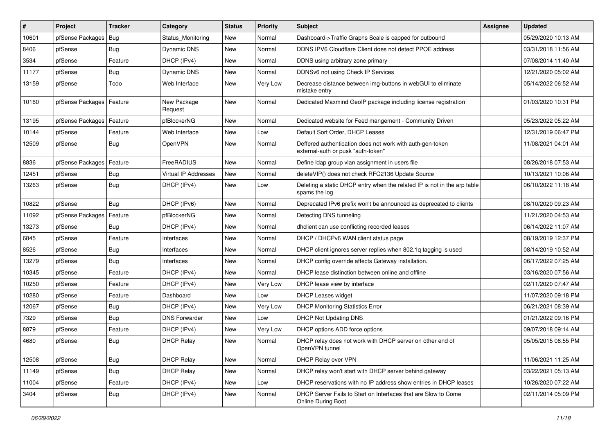| $\vert$ # | Project                    | <b>Tracker</b> | Category               | <b>Status</b> | <b>Priority</b> | Subject                                                                                         | <b>Assignee</b> | <b>Updated</b>      |
|-----------|----------------------------|----------------|------------------------|---------------|-----------------|-------------------------------------------------------------------------------------------------|-----------------|---------------------|
| 10601     | pfSense Packages           | Bug            | Status Monitoring      | New           | Normal          | Dashboard->Traffic Graphs Scale is capped for outbound                                          |                 | 05/29/2020 10:13 AM |
| 8406      | pfSense                    | Bug            | <b>Dynamic DNS</b>     | New           | Normal          | DDNS IPV6 Cloudflare Client does not detect PPOE address                                        |                 | 03/31/2018 11:56 AM |
| 3534      | pfSense                    | Feature        | DHCP (IPv4)            | New           | Normal          | DDNS using arbitrary zone primary                                                               |                 | 07/08/2014 11:40 AM |
| 11177     | pfSense                    | Bug            | <b>Dynamic DNS</b>     | New           | Normal          | DDNSv6 not using Check IP Services                                                              |                 | 12/21/2020 05:02 AM |
| 13159     | pfSense                    | Todo           | Web Interface          | New           | Very Low        | Decrease distance between img-buttons in webGUI to eliminate<br>mistake entry                   |                 | 05/14/2022 06:52 AM |
| 10160     | pfSense Packages   Feature |                | New Package<br>Request | New           | Normal          | Dedicated Maxmind GeoIP package including license registration                                  |                 | 01/03/2020 10:31 PM |
| 13195     | pfSense Packages   Feature |                | pfBlockerNG            | New           | Normal          | Dedicated website for Feed mangement - Community Driven                                         |                 | 05/23/2022 05:22 AM |
| 10144     | pfSense                    | Feature        | Web Interface          | New           | Low             | Default Sort Order, DHCP Leases                                                                 |                 | 12/31/2019 06:47 PM |
| 12509     | pfSense                    | Bug            | OpenVPN                | New           | Normal          | Deffered authentication does not work with auth-gen-token<br>external-auth or pusk "auth-token" |                 | 11/08/2021 04:01 AM |
| 8836      | pfSense Packages   Feature |                | FreeRADIUS             | New           | Normal          | Define Idap group vlan assignment in users file                                                 |                 | 08/26/2018 07:53 AM |
| 12451     | pfSense                    | Bug            | Virtual IP Addresses   | New           | Normal          | deleteVIP() does not check RFC2136 Update Source                                                |                 | 10/13/2021 10:06 AM |
| 13263     | pfSense                    | Bug            | DHCP (IPv4)            | New           | Low             | Deleting a static DHCP entry when the related IP is not in the arp table<br>spams the log       |                 | 06/10/2022 11:18 AM |
| 10822     | pfSense                    | Bug            | DHCP (IPv6)            | New           | Normal          | Deprecated IPv6 prefix won't be announced as deprecated to clients                              |                 | 08/10/2020 09:23 AM |
| 11092     | pfSense Packages           | Feature        | pfBlockerNG            | New           | Normal          | Detecting DNS tunneling                                                                         |                 | 11/21/2020 04:53 AM |
| 13273     | pfSense                    | Bug            | DHCP (IPv4)            | New           | Normal          | dhclient can use conflicting recorded leases                                                    |                 | 06/14/2022 11:07 AM |
| 6845      | pfSense                    | Feature        | Interfaces             | New           | Normal          | DHCP / DHCPv6 WAN client status page                                                            |                 | 08/19/2019 12:37 PM |
| 8526      | pfSense                    | <b>Bug</b>     | Interfaces             | New           | Normal          | DHCP client ignores server replies when 802.1q tagging is used                                  |                 | 08/14/2019 10:52 AM |
| 13279     | pfSense                    | Bug            | Interfaces             | New           | Normal          | DHCP config override affects Gateway installation.                                              |                 | 06/17/2022 07:25 AM |
| 10345     | pfSense                    | Feature        | DHCP (IPv4)            | New           | Normal          | DHCP lease distinction between online and offline                                               |                 | 03/16/2020 07:56 AM |
| 10250     | pfSense                    | Feature        | DHCP (IPv4)            | New           | Very Low        | DHCP lease view by interface                                                                    |                 | 02/11/2020 07:47 AM |
| 10280     | pfSense                    | Feature        | Dashboard              | New           | Low             | <b>DHCP Leases widget</b>                                                                       |                 | 11/07/2020 09:18 PM |
| 12067     | pfSense                    | <b>Bug</b>     | DHCP (IPv4)            | New           | Very Low        | <b>DHCP Monitoring Statistics Error</b>                                                         |                 | 06/21/2021 08:39 AM |
| 7329      | pfSense                    | Bug            | <b>DNS Forwarder</b>   | New           | Low             | DHCP Not Updating DNS                                                                           |                 | 01/21/2022 09:16 PM |
| 8879      | pfSense                    | Feature        | DHCP (IPv4)            | New           | Very Low        | DHCP options ADD force options                                                                  |                 | 09/07/2018 09:14 AM |
| 4680      | pfSense                    | Bug            | <b>DHCP Relay</b>      | New           | Normal          | DHCP relay does not work with DHCP server on other end of<br>OpenVPN tunnel                     |                 | 05/05/2015 06:55 PM |
| 12508     | pfSense                    | Bug            | <b>DHCP Relay</b>      | New           | Normal          | DHCP Relay over VPN                                                                             |                 | 11/06/2021 11:25 AM |
| 11149     | pfSense                    | Bug            | <b>DHCP Relay</b>      | New           | Normal          | DHCP relay won't start with DHCP server behind gateway                                          |                 | 03/22/2021 05:13 AM |
| 11004     | pfSense                    | Feature        | DHCP (IPv4)            | New           | Low             | DHCP reservations with no IP address show entries in DHCP leases                                |                 | 10/26/2020 07:22 AM |
| 3404      | pfSense                    | <b>Bug</b>     | DHCP (IPv4)            | New           | Normal          | DHCP Server Fails to Start on Interfaces that are Slow to Come<br>Online During Boot            |                 | 02/11/2014 05:09 PM |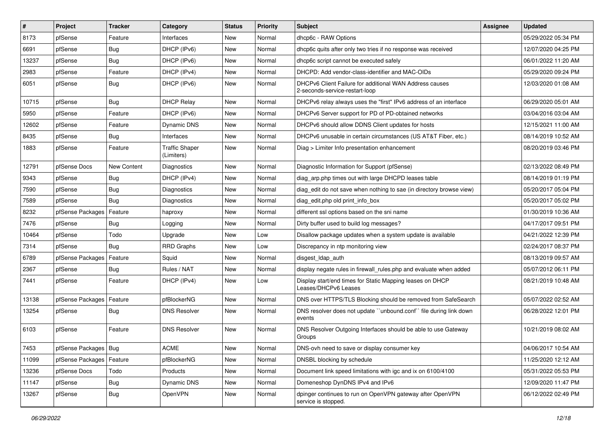| #     | Project                    | <b>Tracker</b> | Category                            | <b>Status</b> | <b>Priority</b> | <b>Subject</b>                                                                            | <b>Assignee</b> | <b>Updated</b>      |
|-------|----------------------------|----------------|-------------------------------------|---------------|-----------------|-------------------------------------------------------------------------------------------|-----------------|---------------------|
| 8173  | pfSense                    | Feature        | Interfaces                          | New           | Normal          | dhcp6c - RAW Options                                                                      |                 | 05/29/2022 05:34 PM |
| 6691  | pfSense                    | Bug            | DHCP (IPv6)                         | New           | Normal          | dhcp6c quits after only two tries if no response was received                             |                 | 12/07/2020 04:25 PM |
| 13237 | pfSense                    | Bug            | DHCP (IPv6)                         | New           | Normal          | dhcp6c script cannot be executed safely                                                   |                 | 06/01/2022 11:20 AM |
| 2983  | pfSense                    | Feature        | DHCP (IPv4)                         | New           | Normal          | DHCPD: Add vendor-class-identifier and MAC-OIDs                                           |                 | 05/29/2020 09:24 PM |
| 6051  | pfSense                    | Bug            | DHCP (IPv6)                         | New           | Normal          | DHCPv6 Client Failure for additional WAN Address causes<br>2-seconds-service-restart-loop |                 | 12/03/2020 01:08 AM |
| 10715 | pfSense                    | Bug            | <b>DHCP Relay</b>                   | New           | Normal          | DHCPv6 relay always uses the "first" IPv6 address of an interface                         |                 | 06/29/2020 05:01 AM |
| 5950  | pfSense                    | Feature        | DHCP (IPv6)                         | New           | Normal          | DHCPv6 Server support for PD of PD-obtained networks                                      |                 | 03/04/2016 03:04 AM |
| 12602 | pfSense                    | Feature        | Dynamic DNS                         | New           | Normal          | DHCPv6 should allow DDNS Client updates for hosts                                         |                 | 12/15/2021 11:00 AM |
| 8435  | pfSense                    | Bug            | Interfaces                          | New           | Normal          | DHCPv6 unusable in certain circumstances (US AT&T Fiber, etc.)                            |                 | 08/14/2019 10:52 AM |
| 1883  | pfSense                    | Feature        | <b>Traffic Shaper</b><br>(Limiters) | New           | Normal          | Diag > Limiter Info presentation enhancement                                              |                 | 08/20/2019 03:46 PM |
| 12791 | pfSense Docs               | New Content    | Diagnostics                         | New           | Normal          | Diagnostic Information for Support (pfSense)                                              |                 | 02/13/2022 08:49 PM |
| 9343  | pfSense                    | Bug            | DHCP (IPv4)                         | New           | Normal          | diag arp.php times out with large DHCPD leases table                                      |                 | 08/14/2019 01:19 PM |
| 7590  | pfSense                    | Bug            | Diagnostics                         | New           | Normal          | diag edit do not save when nothing to sae (in directory browse view)                      |                 | 05/20/2017 05:04 PM |
| 7589  | pfSense                    | Bug            | Diagnostics                         | New           | Normal          | diag edit.php old print info box                                                          |                 | 05/20/2017 05:02 PM |
| 8232  | pfSense Packages           | Feature        | haproxy                             | New           | Normal          | different ssl options based on the sni name                                               |                 | 01/30/2019 10:36 AM |
| 7476  | pfSense                    | Bug            | Logging                             | New           | Normal          | Dirty buffer used to build log messages?                                                  |                 | 04/17/2017 09:51 PM |
| 10464 | pfSense                    | Todo           | Upgrade                             | New           | Low             | Disallow package updates when a system update is available                                |                 | 04/21/2022 12:39 PM |
| 7314  | pfSense                    | Bug            | <b>RRD Graphs</b>                   | <b>New</b>    | Low             | Discrepancy in ntp monitoring view                                                        |                 | 02/24/2017 08:37 PM |
| 6789  | pfSense Packages           | Feature        | Squid                               | New           | Normal          | disgest Idap auth                                                                         |                 | 08/13/2019 09:57 AM |
| 2367  | pfSense                    | Bug            | Rules / NAT                         | New           | Normal          | display negate rules in firewall rules php and evaluate when added                        |                 | 05/07/2012 06:11 PM |
| 7441  | pfSense                    | Feature        | DHCP (IPv4)                         | New           | Low             | Display start/end times for Static Mapping leases on DHCP<br>Leases/DHCPv6 Leases         |                 | 08/21/2019 10:48 AM |
| 13138 | pfSense Packages   Feature |                | pfBlockerNG                         | New           | Normal          | DNS over HTTPS/TLS Blocking should be removed from SafeSearch                             |                 | 05/07/2022 02:52 AM |
| 13254 | pfSense                    | Bug            | <b>DNS Resolver</b>                 | New           | Normal          | DNS resolver does not update "unbound.conf" file during link down<br>events               |                 | 06/28/2022 12:01 PM |
| 6103  | pfSense                    | Feature        | <b>DNS Resolver</b>                 | New           | Normal          | DNS Resolver Outgoing Interfaces should be able to use Gateway<br>Groups                  |                 | 10/21/2019 08:02 AM |
| 7453  | pfSense Packages   Bug     |                | ACME                                | New           | Normal          | DNS-ovh need to save or display consumer key                                              |                 | 04/06/2017 10:54 AM |
| 11099 | pfSense Packages   Feature |                | pfBlockerNG                         | New           | Normal          | DNSBL blocking by schedule                                                                |                 | 11/25/2020 12:12 AM |
| 13236 | pfSense Docs               | Todo           | Products                            | New           | Normal          | Document link speed limitations with igc and ix on 6100/4100                              |                 | 05/31/2022 05:53 PM |
| 11147 | pfSense                    | <b>Bug</b>     | Dynamic DNS                         | New           | Normal          | Domeneshop DynDNS IPv4 and IPv6                                                           |                 | 12/09/2020 11:47 PM |
| 13267 | pfSense                    | <b>Bug</b>     | OpenVPN                             | New           | Normal          | dpinger continues to run on OpenVPN gateway after OpenVPN<br>service is stopped.          |                 | 06/12/2022 02:49 PM |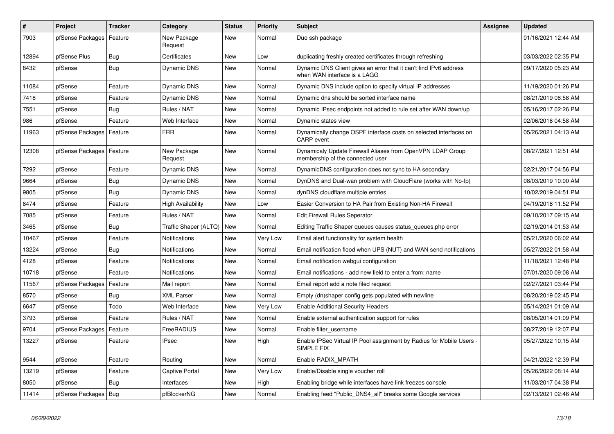| #     | <b>Project</b>             | <b>Tracker</b> | Category               | <b>Status</b> | <b>Priority</b> | <b>Subject</b>                                                                                    | <b>Assignee</b> | <b>Updated</b>      |
|-------|----------------------------|----------------|------------------------|---------------|-----------------|---------------------------------------------------------------------------------------------------|-----------------|---------------------|
| 7903  | pfSense Packages           | Feature        | New Package<br>Request | <b>New</b>    | Normal          | Duo ssh package                                                                                   |                 | 01/16/2021 12:44 AM |
| 12894 | pfSense Plus               | <b>Bug</b>     | Certificates           | <b>New</b>    | Low             | duplicating freshly created certificates through refreshing                                       |                 | 03/03/2022 02:35 PM |
| 8432  | pfSense                    | Bug            | <b>Dynamic DNS</b>     | New           | Normal          | Dynamic DNS Client gives an error that it can't find IPv6 address<br>when WAN interface is a LAGG |                 | 09/17/2020 05:23 AM |
| 11084 | pfSense                    | Feature        | <b>Dynamic DNS</b>     | <b>New</b>    | Normal          | Dynamic DNS include option to specify virtual IP addresses                                        |                 | 11/19/2020 01:26 PM |
| 7418  | pfSense                    | Feature        | Dynamic DNS            | <b>New</b>    | Normal          | Dynamic dns should be sorted interface name                                                       |                 | 08/21/2019 08:58 AM |
| 7551  | pfSense                    | <b>Bug</b>     | Rules / NAT            | <b>New</b>    | Normal          | Dynamic IPsec endpoints not added to rule set after WAN down/up                                   |                 | 05/16/2017 02:26 PM |
| 986   | pfSense                    | Feature        | Web Interface          | <b>New</b>    | Normal          | Dynamic states view                                                                               |                 | 02/06/2016 04:58 AM |
| 11963 | pfSense Packages           | Feature        | <b>FRR</b>             | <b>New</b>    | Normal          | Dynamically change OSPF interface costs on selected interfaces on<br>CARP event                   |                 | 05/26/2021 04:13 AM |
| 12308 | pfSense Packages   Feature |                | New Package<br>Request | <b>New</b>    | Normal          | Dynamicaly Update Firewall Aliases from OpenVPN LDAP Group<br>membership of the connected user    |                 | 08/27/2021 12:51 AM |
| 7292  | pfSense                    | Feature        | <b>Dynamic DNS</b>     | <b>New</b>    | Normal          | DynamicDNS configuration does not sync to HA secondary                                            |                 | 02/21/2017 04:56 PM |
| 9664  | pfSense                    | <b>Bug</b>     | Dynamic DNS            | <b>New</b>    | Normal          | DynDNS and Dual-wan problem with CloudFlare (works with No-Ip)                                    |                 | 08/03/2019 10:00 AM |
| 9805  | pfSense                    | Bug            | Dynamic DNS            | <b>New</b>    | Normal          | dynDNS cloudflare multiple entries                                                                |                 | 10/02/2019 04:51 PM |
| 8474  | pfSense                    | Feature        | High Availability      | <b>New</b>    | Low             | Easier Conversion to HA Pair from Existing Non-HA Firewall                                        |                 | 04/19/2018 11:52 PM |
| 7085  | pfSense                    | Feature        | Rules / NAT            | <b>New</b>    | Normal          | <b>Edit Firewall Rules Seperator</b>                                                              |                 | 09/10/2017 09:15 AM |
| 3465  | pfSense                    | Bug            | Traffic Shaper (ALTQ)  | <b>New</b>    | Normal          | Editing Traffic Shaper queues causes status queues.php error                                      |                 | 02/19/2014 01:53 AM |
| 10467 | pfSense                    | Feature        | Notifications          | New           | Very Low        | Email alert functionality for system health                                                       |                 | 05/21/2020 06:02 AM |
| 13224 | pfSense                    | Bug            | Notifications          | <b>New</b>    | Normal          | Email notification flood when UPS (NUT) and WAN send notifications                                |                 | 05/27/2022 01:58 AM |
| 4128  | pfSense                    | Feature        | Notifications          | <b>New</b>    | Normal          | Email notification webgui configuration                                                           |                 | 11/18/2021 12:48 PM |
| 10718 | pfSense                    | Feature        | Notifications          | <b>New</b>    | Normal          | Email notifications - add new field to enter a from: name                                         |                 | 07/01/2020 09:08 AM |
| 11567 | pfSense Packages           | Feature        | Mail report            | <b>New</b>    | Normal          | Email report add a note filed request                                                             |                 | 02/27/2021 03:44 PM |
| 8570  | pfSense                    | <b>Bug</b>     | <b>XML Parser</b>      | <b>New</b>    | Normal          | Empty (dn)shaper config gets populated with newline                                               |                 | 08/20/2019 02:45 PM |
| 6647  | pfSense                    | Todo           | Web Interface          | <b>New</b>    | Very Low        | <b>Enable Additional Security Headers</b>                                                         |                 | 05/14/2021 01:09 AM |
| 3793  | pfSense                    | Feature        | Rules / NAT            | New           | Normal          | Enable external authentication support for rules                                                  |                 | 08/05/2014 01:09 PM |
| 9704  | pfSense Packages           | Feature        | FreeRADIUS             | <b>New</b>    | Normal          | Enable filter username                                                                            |                 | 08/27/2019 12:07 PM |
| 13227 | pfSense                    | Feature        | <b>IPsec</b>           | <b>New</b>    | High            | Enable IPSec Virtual IP Pool assignment by Radius for Mobile Users -<br>SIMPLE FIX                |                 | 05/27/2022 10:15 AM |
| 9544  | pfSense                    | Feature        | Routina                | <b>New</b>    | Normal          | Enable RADIX MPATH                                                                                |                 | 04/21/2022 12:39 PM |
| 13219 | pfSense                    | Feature        | Captive Portal         | <b>New</b>    | Very Low        | Enable/Disable single voucher roll                                                                |                 | 05/26/2022 08:14 AM |
| 8050  | pfSense                    | <b>Bug</b>     | Interfaces             | <b>New</b>    | High            | Enabling bridge while interfaces have link freezes console                                        |                 | 11/03/2017 04:38 PM |
| 11414 | pfSense Packages   Bug     |                | pfBlockerNG            | New           | Normal          | Enabling feed "Public DNS4 all" breaks some Google services                                       |                 | 02/13/2021 02:46 AM |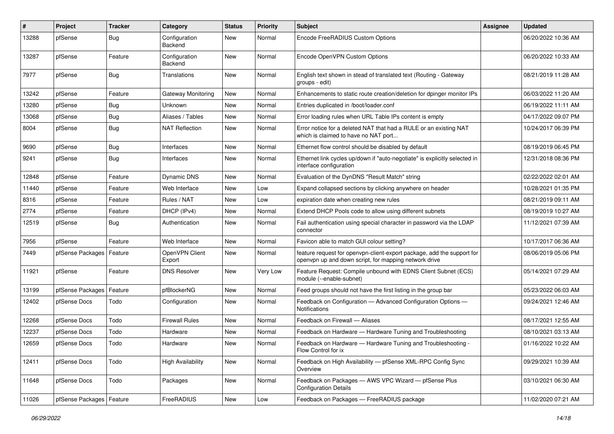| $\#$  | Project          | <b>Tracker</b> | Category                 | <b>Status</b> | <b>Priority</b> | <b>Subject</b>                                                                                                                  | <b>Assignee</b> | <b>Updated</b>      |
|-------|------------------|----------------|--------------------------|---------------|-----------------|---------------------------------------------------------------------------------------------------------------------------------|-----------------|---------------------|
| 13288 | pfSense          | Bug            | Configuration<br>Backend | New           | Normal          | Encode FreeRADIUS Custom Options                                                                                                |                 | 06/20/2022 10:36 AM |
| 13287 | pfSense          | Feature        | Configuration<br>Backend | <b>New</b>    | Normal          | Encode OpenVPN Custom Options                                                                                                   |                 | 06/20/2022 10:33 AM |
| 7977  | pfSense          | Bug            | Translations             | New           | Normal          | English text shown in stead of translated text (Routing - Gateway<br>groups - edit)                                             |                 | 08/21/2019 11:28 AM |
| 13242 | pfSense          | Feature        | Gateway Monitoring       | New           | Normal          | Enhancements to static route creation/deletion for dpinger monitor IPs                                                          |                 | 06/03/2022 11:20 AM |
| 13280 | pfSense          | <b>Bug</b>     | <b>Unknown</b>           | <b>New</b>    | Normal          | Entries duplicated in /boot/loader.conf                                                                                         |                 | 06/19/2022 11:11 AM |
| 13068 | pfSense          | Bug            | Aliases / Tables         | New           | Normal          | Error loading rules when URL Table IPs content is empty                                                                         |                 | 04/17/2022 09:07 PM |
| 8004  | pfSense          | <b>Bug</b>     | <b>NAT Reflection</b>    | <b>New</b>    | Normal          | Error notice for a deleted NAT that had a RULE or an existing NAT<br>which is claimed to have no NAT port                       |                 | 10/24/2017 06:39 PM |
| 9690  | pfSense          | Bug            | Interfaces               | <b>New</b>    | Normal          | Ethernet flow control should be disabled by default                                                                             |                 | 08/19/2019 06:45 PM |
| 9241  | pfSense          | Bug            | Interfaces               | New           | Normal          | Ethernet link cycles up/down if "auto-negotiate" is explicitly selected in<br>interface configuration                           |                 | 12/31/2018 08:36 PM |
| 12848 | pfSense          | Feature        | Dynamic DNS              | New           | Normal          | Evaluation of the DynDNS "Result Match" string                                                                                  |                 | 02/22/2022 02:01 AM |
| 11440 | pfSense          | Feature        | Web Interface            | <b>New</b>    | Low             | Expand collapsed sections by clicking anywhere on header                                                                        |                 | 10/28/2021 01:35 PM |
| 8316  | pfSense          | Feature        | Rules / NAT              | New           | Low             | expiration date when creating new rules                                                                                         |                 | 08/21/2019 09:11 AM |
| 2774  | pfSense          | Feature        | DHCP (IPv4)              | <b>New</b>    | Normal          | Extend DHCP Pools code to allow using different subnets                                                                         |                 | 08/19/2019 10:27 AM |
| 12519 | pfSense          | Bug            | Authentication           | New           | Normal          | Fail authentication using special character in password via the LDAP<br>connector                                               |                 | 11/12/2021 07:39 AM |
| 7956  | pfSense          | Feature        | Web Interface            | New           | Normal          | Favicon able to match GUI colour setting?                                                                                       |                 | 10/17/2017 06:36 AM |
| 7449  | pfSense Packages | Feature        | OpenVPN Client<br>Export | New           | Normal          | feature request for openvpn-client-export package, add the support for<br>openvpn up and down script, for mapping network drive |                 | 08/06/2019 05:06 PM |
| 11921 | pfSense          | Feature        | <b>DNS Resolver</b>      | <b>New</b>    | Very Low        | Feature Request: Compile unbound with EDNS Client Subnet (ECS)<br>module (--enable-subnet)                                      |                 | 05/14/2021 07:29 AM |
| 13199 | pfSense Packages | Feature        | pfBlockerNG              | New           | Normal          | Feed groups should not have the first listing in the group bar                                                                  |                 | 05/23/2022 06:03 AM |
| 12402 | pfSense Docs     | Todo           | Configuration            | New           | Normal          | Feedback on Configuration - Advanced Configuration Options -<br><b>Notifications</b>                                            |                 | 09/24/2021 12:46 AM |
| 12268 | pfSense Docs     | Todo           | <b>Firewall Rules</b>    | New           | Normal          | Feedback on Firewall - Aliases                                                                                                  |                 | 08/17/2021 12:55 AM |
| 12237 | pfSense Docs     | Todo           | Hardware                 | New           | Normal          | Feedback on Hardware - Hardware Tuning and Troubleshooting                                                                      |                 | 08/10/2021 03:13 AM |
| 12659 | pfSense Docs     | Todo           | Hardware                 | New           | Normal          | Feedback on Hardware - Hardware Tuning and Troubleshooting -<br>Flow Control for ix                                             |                 | 01/16/2022 10:22 AM |
| 12411 | pfSense Docs     | Todo           | <b>High Availability</b> | New           | Normal          | Feedback on High Availability - pfSense XML-RPC Config Sync<br>Overview                                                         |                 | 09/29/2021 10:39 AM |
| 11648 | pfSense Docs     | Todo           | Packages                 | New           | Normal          | Feedback on Packages - AWS VPC Wizard - pfSense Plus<br><b>Configuration Details</b>                                            |                 | 03/10/2021 06:30 AM |
| 11026 | pfSense Packages | Feature        | FreeRADIUS               | New           | Low             | Feedback on Packages - FreeRADIUS package                                                                                       |                 | 11/02/2020 07:21 AM |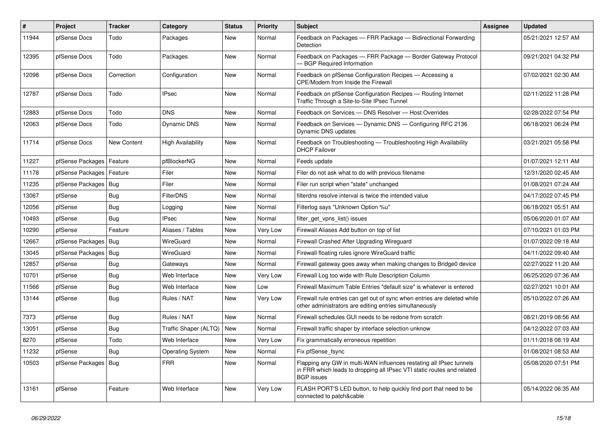| #     | <b>Project</b>   | <b>Tracker</b> | Category              | <b>Status</b> | <b>Priority</b> | <b>Subject</b>                                                                                                                                                     | Assignee | <b>Updated</b>      |
|-------|------------------|----------------|-----------------------|---------------|-----------------|--------------------------------------------------------------------------------------------------------------------------------------------------------------------|----------|---------------------|
| 11944 | pfSense Docs     | Todo           | Packages              | <b>New</b>    | Normal          | Feedback on Packages - FRR Package - Bidirectional Forwarding<br>Detection                                                                                         |          | 05/21/2021 12:57 AM |
| 12395 | pfSense Docs     | Todo           | Packages              | <b>New</b>    | Normal          | Feedback on Packages - FRR Package - Border Gateway Protocol<br><b>BGP Required Information</b>                                                                    |          | 09/21/2021 04:32 PM |
| 12098 | pfSense Docs     | Correction     | Configuration         | <b>New</b>    | Normal          | Feedback on pfSense Configuration Recipes - Accessing a<br>CPE/Modem from Inside the Firewall                                                                      |          | 07/02/2021 02:30 AM |
| 12787 | pfSense Docs     | Todo           | <b>IPsec</b>          | New           | Normal          | Feedback on pfSense Configuration Recipes - Routing Internet<br>Traffic Through a Site-to-Site IPsec Tunnel                                                        |          | 02/11/2022 11:28 PM |
| 12883 | pfSense Docs     | Todo           | <b>DNS</b>            | <b>New</b>    | Normal          | Feedback on Services - DNS Resolver - Host Overrides                                                                                                               |          | 02/28/2022 07:54 PM |
| 12063 | pfSense Docs     | Todo           | Dynamic DNS           | New           | Normal          | Feedback on Services - Dynamic DNS - Configuring RFC 2136<br>Dynamic DNS updates                                                                                   |          | 06/18/2021 06:24 PM |
| 11714 | pfSense Docs     | New Content    | High Availability     | <b>New</b>    | Normal          | Feedback on Troubleshooting — Troubleshooting High Availability<br><b>DHCP Failover</b>                                                                            |          | 03/21/2021 05:58 PM |
| 11227 | pfSense Packages | Feature        | pfBlockerNG           | <b>New</b>    | Normal          | Feeds update                                                                                                                                                       |          | 01/07/2021 12:11 AM |
| 11178 | pfSense Packages | Feature        | Filer                 | <b>New</b>    | Normal          | Filer do not ask what to do with previous filename                                                                                                                 |          | 12/31/2020 02:45 AM |
| 11235 | pfSense Packages | Bug            | Filer                 | <b>New</b>    | Normal          | Filer run script when "state" unchanged                                                                                                                            |          | 01/08/2021 07:24 AM |
| 13067 | pfSense          | Bug            | <b>FilterDNS</b>      | <b>New</b>    | Normal          | filterdns resolve interval is twice the intended value                                                                                                             |          | 04/17/2022 07:45 PM |
| 12056 | pfSense          | Bug            | Logging               | <b>New</b>    | Normal          | Filterlog says "Unknown Option %u"                                                                                                                                 |          | 06/18/2021 05:51 AM |
| 10493 | pfSense          | Bug            | <b>IPsec</b>          | <b>New</b>    | Normal          | filter get vpns list() issues                                                                                                                                      |          | 05/06/2020 01:07 AM |
| 10290 | pfSense          | Feature        | Aliases / Tables      | <b>New</b>    | Very Low        | Firewall Aliases Add button on top of list                                                                                                                         |          | 07/10/2021 01:03 PM |
| 12667 | pfSense Packages | Bug            | WireGuard             | <b>New</b>    | Normal          | Firewall Crashed After Upgrading Wireguard                                                                                                                         |          | 01/07/2022 09:18 AM |
| 13045 | pfSense Packages | Bug            | <b>WireGuard</b>      | <b>New</b>    | Normal          | Firewall floating rules ignore WireGuard traffic                                                                                                                   |          | 04/11/2022 09:40 AM |
| 12857 | pfSense          | <b>Bug</b>     | Gateways              | <b>New</b>    | Normal          | Firewall gateway goes away when making changes to Bridge0 device                                                                                                   |          | 02/27/2022 11:20 AM |
| 10701 | pfSense          | <b>Bug</b>     | Web Interface         | <b>New</b>    | Very Low        | Firewall Log too wide with Rule Description Column                                                                                                                 |          | 06/25/2020 07:36 AM |
| 11566 | pfSense          | Bug            | Web Interface         | <b>New</b>    | Low             | Firewall Maximum Table Entries "default size" is whatever is entered                                                                                               |          | 02/27/2021 10:01 AM |
| 13144 | pfSense          | Bug            | Rules / NAT           | <b>New</b>    | Very Low        | Firewall rule entries can get out of sync when entries are deleted while<br>other administrators are editing entries simultaneously                                |          | 05/10/2022 07:26 AM |
| 7373  | pfSense          | Bug            | Rules / NAT           | New           | Normal          | Firewall schedules GUI needs to be redone from scratch                                                                                                             |          | 08/21/2019 08:56 AM |
| 13051 | pfSense          | <b>Bug</b>     | Traffic Shaper (ALTQ) | New           | Normal          | Firewall traffic shaper by interface selection unknow                                                                                                              |          | 04/12/2022 07:03 AM |
| 8270  | pfSense          | Todo           | Web Interface         | <b>New</b>    | Very Low        | Fix grammatically erroneous repetition                                                                                                                             |          | 01/11/2018 08:19 AM |
| 11232 | pfSense          | <b>Bug</b>     | Operating System      | <b>New</b>    | Normal          | Fix pfSense_fsync                                                                                                                                                  |          | 01/08/2021 08:53 AM |
| 10503 | pfSense Packages | Bug            | <b>FRR</b>            | New           | Normal          | Flapping any GW in multi-WAN influences restating all IPsec tunnels<br>in FRR which leads to dropping all IPsec VTI static routes and related<br><b>BGP</b> issues |          | 05/08/2020 07:51 PM |
| 13161 | pfSense          | Feature        | Web Interface         | New           | Very Low        | FLASH PORT'S LED button, to help quickly find port that need to be<br>connected to patch&cable                                                                     |          | 05/14/2022 06:35 AM |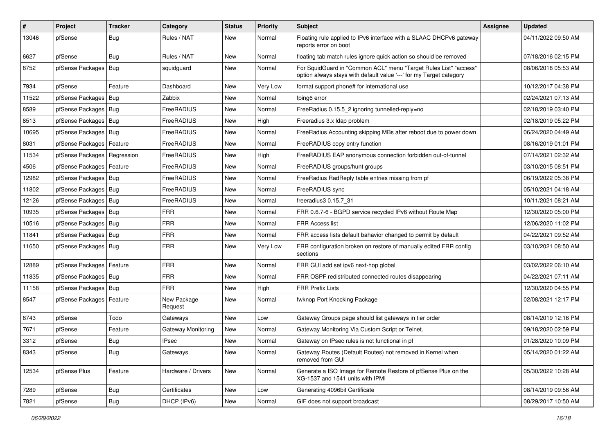| $\vert$ # | Project                       | <b>Tracker</b> | Category               | <b>Status</b> | <b>Priority</b> | Subject                                                                                                                                 | <b>Assignee</b> | <b>Updated</b>      |
|-----------|-------------------------------|----------------|------------------------|---------------|-----------------|-----------------------------------------------------------------------------------------------------------------------------------------|-----------------|---------------------|
| 13046     | pfSense                       | <b>Bug</b>     | Rules / NAT            | New           | Normal          | Floating rule applied to IPv6 interface with a SLAAC DHCPv6 gateway<br>reports error on boot                                            |                 | 04/11/2022 09:50 AM |
| 6627      | pfSense                       | Bug            | Rules / NAT            | New           | Normal          | floating tab match rules ignore quick action so should be removed                                                                       |                 | 07/18/2016 02:15 PM |
| 8752      | pfSense Packages              | Bug            | squidguard             | New           | Normal          | For SquidGuard in "Common ACL" menu "Target Rules List" "access"<br>option always stays with default value '---' for my Target category |                 | 08/06/2018 05:53 AM |
| 7934      | pfSense                       | Feature        | Dashboard              | New           | Very Low        | format support phone# for international use                                                                                             |                 | 10/12/2017 04:38 PM |
| 11522     | pfSense Packages   Bug        |                | Zabbix                 | New           | Normal          | fping6 error                                                                                                                            |                 | 02/24/2021 07:13 AM |
| 8589      | pfSense Packages              | Bug            | <b>FreeRADIUS</b>      | <b>New</b>    | Normal          | FreeRadius 0.15.5_2 ignoring tunnelled-reply=no                                                                                         |                 | 02/18/2019 03:40 PM |
| 8513      | pfSense Packages   Bug        |                | FreeRADIUS             | New           | High            | Freeradius 3.x Idap problem                                                                                                             |                 | 02/18/2019 05:22 PM |
| 10695     | pfSense Packages   Bug        |                | FreeRADIUS             | <b>New</b>    | Normal          | FreeRadius Accounting skipping MBs after reboot due to power down                                                                       |                 | 06/24/2020 04:49 AM |
| 8031      | pfSense Packages              | Feature        | FreeRADIUS             | New           | Normal          | FreeRADIUS copy entry function                                                                                                          |                 | 08/16/2019 01:01 PM |
| 11534     | pfSense Packages   Regression |                | FreeRADIUS             | <b>New</b>    | High            | FreeRADIUS EAP anonymous connection forbidden out-of-tunnel                                                                             |                 | 07/14/2021 02:32 AM |
| 4506      | pfSense Packages              | Feature        | FreeRADIUS             | <b>New</b>    | Normal          | FreeRADIUS groups/hunt groups                                                                                                           |                 | 03/10/2015 08:51 PM |
| 12982     | pfSense Packages   Bug        |                | FreeRADIUS             | New           | Normal          | FreeRadius RadReply table entries missing from pf                                                                                       |                 | 06/19/2022 05:38 PM |
| 11802     | pfSense Packages   Bug        |                | FreeRADIUS             | New           | Normal          | FreeRADIUS sync                                                                                                                         |                 | 05/10/2021 04:18 AM |
| 12126     | pfSense Packages   Bug        |                | FreeRADIUS             | New           | Normal          | freeradius3 0.15.7 31                                                                                                                   |                 | 10/11/2021 08:21 AM |
| 10935     | pfSense Packages   Bug        |                | <b>FRR</b>             | New           | Normal          | FRR 0.6.7-6 - BGPD service recycled IPv6 without Route Map                                                                              |                 | 12/30/2020 05:00 PM |
| 10516     | pfSense Packages   Bug        |                | <b>FRR</b>             | <b>New</b>    | Normal          | FRR Access list                                                                                                                         |                 | 12/06/2020 11:02 PM |
| 11841     | pfSense Packages   Bug        |                | <b>FRR</b>             | New           | Normal          | FRR access lists default bahavior changed to permit by default                                                                          |                 | 04/22/2021 09:52 AM |
| 11650     | pfSense Packages   Bug        |                | <b>FRR</b>             | New           | Very Low        | FRR configuration broken on restore of manually edited FRR config<br>sections                                                           |                 | 03/10/2021 08:50 AM |
| 12889     | pfSense Packages              | Feature        | <b>FRR</b>             | New           | Normal          | FRR GUI add set ipv6 next-hop global                                                                                                    |                 | 03/02/2022 06:10 AM |
| 11835     | pfSense Packages   Bug        |                | <b>FRR</b>             | <b>New</b>    | Normal          | FRR OSPF redistributed connected routes disappearing                                                                                    |                 | 04/22/2021 07:11 AM |
| 11158     | pfSense Packages              | Bug            | <b>FRR</b>             | New           | High            | <b>FRR Prefix Lists</b>                                                                                                                 |                 | 12/30/2020 04:55 PM |
| 8547      | pfSense Packages   Feature    |                | New Package<br>Request | New           | Normal          | fwknop Port Knocking Package                                                                                                            |                 | 02/08/2021 12:17 PM |
| 8743      | pfSense                       | Todo           | Gateways               | New           | Low             | Gateway Groups page should list gateways in tier order                                                                                  |                 | 08/14/2019 12:16 PM |
| 7671      | pfSense                       | Feature        | Gateway Monitoring     | New           | Normal          | Gateway Monitoring Via Custom Script or Telnet.                                                                                         |                 | 09/18/2020 02:59 PM |
| 3312      | pfSense                       | Bug            | <b>IPsec</b>           | New           | Normal          | Gateway on IPsec rules is not functional in pf                                                                                          |                 | 01/28/2020 10:09 PM |
| 8343      | pfSense                       | <b>Bug</b>     | Gateways               | New           | Normal          | Gateway Routes (Default Routes) not removed in Kernel when<br>removed from GUI                                                          |                 | 05/14/2020 01:22 AM |
| 12534     | pfSense Plus                  | Feature        | Hardware / Drivers     | New           | Normal          | Generate a ISO Image for Remote Restore of pfSense Plus on the<br>XG-1537 and 1541 units with IPMI                                      |                 | 05/30/2022 10:28 AM |
| 7289      | pfSense                       | <b>Bug</b>     | Certificates           | New           | Low             | Generating 4096bit Certificate                                                                                                          |                 | 08/14/2019 09:56 AM |
| 7821      | pfSense                       | Bug            | DHCP (IPv6)            | New           | Normal          | GIF does not support broadcast                                                                                                          |                 | 08/29/2017 10:50 AM |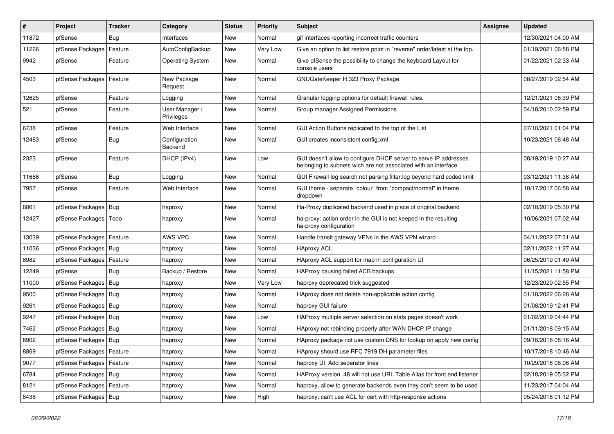| $\pmb{\#}$ | Project                    | <b>Tracker</b> | Category                     | <b>Status</b> | <b>Priority</b> | <b>Subject</b>                                                                                                                     | <b>Assignee</b> | <b>Updated</b>      |
|------------|----------------------------|----------------|------------------------------|---------------|-----------------|------------------------------------------------------------------------------------------------------------------------------------|-----------------|---------------------|
| 11872      | pfSense                    | Bug            | Interfaces                   | New           | Normal          | gif interfaces reporting incorrect traffic counters                                                                                |                 | 12/30/2021 04:00 AM |
| 11266      | pfSense Packages           | Feature        | AutoConfigBackup             | <b>New</b>    | Very Low        | Give an option to list restore point in "reverse" order/latest at the top.                                                         |                 | 01/19/2021 06:58 PM |
| 9942       | pfSense                    | Feature        | <b>Operating System</b>      | <b>New</b>    | Normal          | Give pfSense the possibility to change the keyboard Layout for<br>console users                                                    |                 | 01/22/2021 02:33 AM |
| 4503       | pfSense Packages   Feature |                | New Package<br>Request       | <b>New</b>    | Normal          | GNUGateKeeper H.323 Proxy Package                                                                                                  |                 | 08/27/2019 02:54 AM |
| 12625      | pfSense                    | Feature        | Logging                      | New           | Normal          | Granular logging options for default firewall rules.                                                                               |                 | 12/21/2021 06:39 PM |
| 521        | pfSense                    | Feature        | User Manager /<br>Privileges | New           | Normal          | Group manager Assigned Permissions                                                                                                 |                 | 04/18/2010 02:59 PM |
| 6738       | pfSense                    | Feature        | Web Interface                | New           | Normal          | GUI Action Buttons replicated to the top of the List                                                                               |                 | 07/10/2021 01:04 PM |
| 12483      | pfSense                    | Bug            | Configuration<br>Backend     | New           | Normal          | GUI creates inconsistent config.xml                                                                                                |                 | 10/23/2021 06:48 AM |
| 2323       | pfSense                    | Feature        | DHCP (IPv4)                  | <b>New</b>    | Low             | GUI doesn't allow to configure DHCP server to serve IP addresses<br>belonging to subnets wich are not associated with an interface |                 | 08/19/2019 10:27 AM |
| 11666      | pfSense                    | Bug            | Logging                      | New           | Normal          | GUI Firewall log search not parsing filter.log beyond hard coded limit                                                             |                 | 03/12/2021 11:38 AM |
| 7957       | pfSense                    | Feature        | Web Interface                | <b>New</b>    | Normal          | GUI theme - separate "colour" from "compact/normal" in theme<br>dropdown                                                           |                 | 10/17/2017 06:58 AM |
| 6861       | pfSense Packages   Bug     |                | haproxy                      | New           | Normal          | Ha-Proxy duplicated backend used in place of original backend                                                                      |                 | 02/18/2019 05:30 PM |
| 12427      | pfSense Packages           | Todo           | haproxy                      | New           | Normal          | ha-proxy: action order in the GUI is not keeped in the resulting<br>ha-proxy configuration                                         |                 | 10/06/2021 07:02 AM |
| 13039      | pfSense Packages           | Feature        | AWS VPC                      | <b>New</b>    | Normal          | Handle transit gateway VPNs in the AWS VPN wizard                                                                                  |                 | 04/11/2022 07:31 AM |
| 11036      | pfSense Packages   Bug     |                | haproxy                      | New           | Normal          | <b>HAproxy ACL</b>                                                                                                                 |                 | 02/11/2022 11:27 AM |
| 8982       | pfSense Packages   Feature |                | haproxy                      | New           | Normal          | HAproxy ACL support for map in configuration UI                                                                                    |                 | 06/25/2019 01:49 AM |
| 12249      | pfSense                    | Bug            | Backup / Restore             | <b>New</b>    | Normal          | HAProxy causing failed ACB backups                                                                                                 |                 | 11/15/2021 11:58 PM |
| 11000      | pfSense Packages           | Bug            | haproxy                      | New           | Very Low        | haproxy deprecated trick suggested                                                                                                 |                 | 12/23/2020 02:55 PM |
| 9500       | pfSense Packages   Bug     |                | haproxy                      | New           | Normal          | HAproxy does not delete non-applicable action config                                                                               |                 | 01/18/2022 06:28 AM |
| 9261       | pfSense Packages   Bug     |                | haproxy                      | New           | Normal          | haproxy GUI failure                                                                                                                |                 | 01/08/2019 12:41 PM |
| 9247       | pfSense Packages           | Bug            | haproxy                      | New           | Low             | HAProxy multiple server selection on stats pages doesn't work                                                                      |                 | 01/02/2019 04:44 PM |
| 7462       | pfSense Packages   Bug     |                | haproxy                      | New           | Normal          | HAproxy not rebinding properly after WAN DHCP IP change                                                                            |                 | 01/11/2018 09:15 AM |
| 8902       | pfSense Packages   Bug     |                | haproxy                      | New           | Normal          | HAproxy package not use custom DNS for lookup on apply new config                                                                  |                 | 09/16/2018 08:16 AM |
| 8869       | pfSense Packages   Feature |                | haproxy                      | New           | Normal          | HAproxy should use RFC 7919 DH parameter files                                                                                     |                 | 10/17/2018 10:46 AM |
| 9077       | pfSense Packages   Feature |                | haproxy                      | <b>New</b>    | Normal          | haproxy UI: Add seperator lines                                                                                                    |                 | 10/29/2018 06:06 AM |
| 6784       | pfSense Packages   Bug     |                | haproxy                      | New           | Normal          | HAProxy version .48 will not use URL Table Alias for front end listener                                                            |                 | 02/18/2019 05:32 PM |
| 8121       | pfSense Packages   Feature |                | haproxy                      | New           | Normal          | haproxy, allow to generate backends even they don't seem to be used                                                                |                 | 11/23/2017 04:04 AM |
| 8438       | pfSense Packages   Bug     |                | haproxy                      | New           | High            | haproxy: can't use ACL for cert with http-response actions                                                                         |                 | 05/24/2018 01:12 PM |